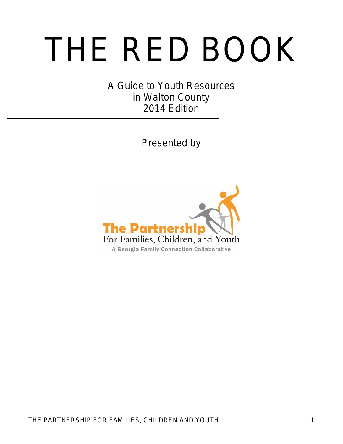# THE RED BOOK

A Guide to Youth Resources in Walton County 2014 Edition

Presented by

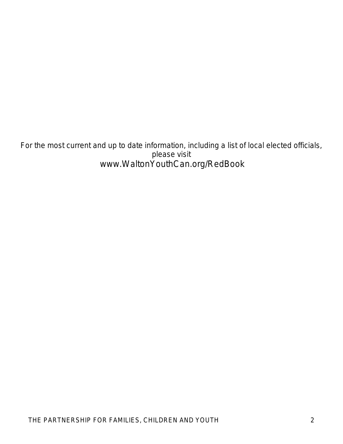For the most current and up to date information, including a list of local elected officials, please visit www.WaltonYouthCan.org/RedBook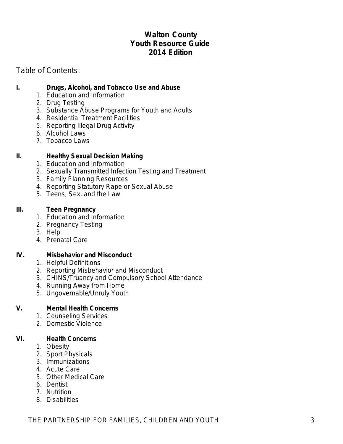# **Walton County Youth Resource Guide 2014 Edition**

# Table of Contents:

#### **I. Drugs, Alcohol, and Tobacco Use and Abuse**

- 1. Education and Information
- 2. Drug Testing
- 3. Substance Abuse Programs for Youth and Adults
- 4. Residential Treatment Facilities
- 5. Reporting Illegal Drug Activity
- 6. Alcohol Laws
- 7. Tobacco Laws

#### **II. Healthy Sexual Decision Making**

- 1. Education and Information
- 2. Sexually Transmitted Infection Testing and Treatment
- 3. Family Planning Resources
- 4. Reporting Statutory Rape or Sexual Abuse
- 5. Teens, Sex, and the Law

#### **III. Teen Pregnancy**

- 1. Education and Information
- 2. Pregnancy Testing
- 3. Help
- 4. Prenatal Care

#### **IV. Misbehavior and Misconduct**

- 1. Helpful Definitions
- 2. Reporting Misbehavior and Misconduct
- 3. CHINS/Truancy and Compulsory School Attendance
- 4. Running Away from Home
- 5. Ungovernable/Unruly Youth

#### **V. Mental Health Concerns**

- 1. Counseling Services
- 2. Domestic Violence

#### **VI. Health Concerns**

- 1. Obesity
- 2. Sport Physicals
- 3. Immunizations
- 4. Acute Care
- 5. Other Medical Care
- 6. Dentist
- 7. Nutrition
- 8. Disabilities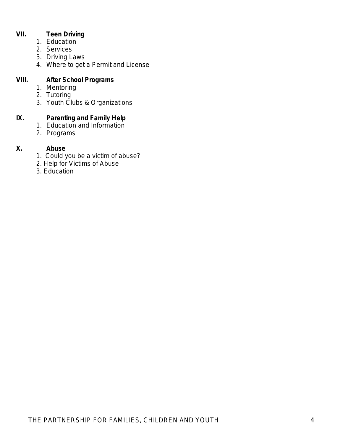#### **VII. Teen Driving**

- 1. Education
- 2. Services
- 3. Driving Laws
- 4. Where to get a Permit and License

#### **VIII. After School Programs**

- 1. Mentoring
- 2. Tutoring
- 3. Youth Clubs & Organizations

### **IX. Parenting and Family Help**

- 1. Education and Information
- 2. Programs

#### **X. Abuse**

- 1. Could you be a victim of abuse?
- 2. Help for Victims of Abuse
- 3. Education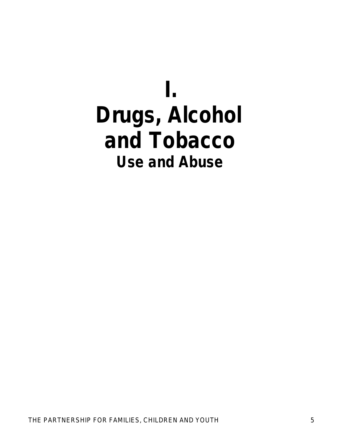# **I. Drugs, Alcohol and Tobacco Use and Abuse**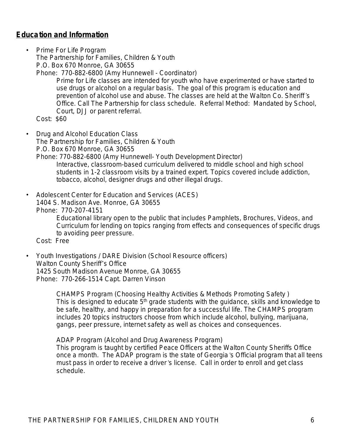# **Education and Information**

- Prime For Life Program The Partnership for Families, Children & Youth P.O. Box 670 Monroe, GA 30655
	- Phone: 770-882-6800 (Amy Hunnewell Coordinator)

*Prime for Life classes are intended for youth who have experimented or have started to use drugs or alcohol on a regular basis. The goal of this program is education and prevention of alcohol use and abuse. The classes are held at the Walton Co. Sheriff's Office. Call The Partnership for class schedule. Referral Method: Mandated by School, Court, DJJ or parent referral.*

Cost: \$60

- Drug and Alcohol Education Class The Partnership for Families, Children & Youth P.O. Box 670 Monroe, GA 30655
	- Phone: 770-882-6800 (Amy Hunnewell- Youth Development Director) *Interactive, classroom-based curriculum delivered to middle school and high school students in 1-2 classroom visits by a trained expert. Topics covered include addiction, tobacco, alcohol, designer drugs and other illegal drugs.*
- Adolescent Center for Education and Services (ACES) 1404 S. Madison Ave. Monroe, GA 30655 Phone: 770-207-4151 *Educational library open to the public that includes Pamphlets, Brochures, Videos, and*

*Curriculum for lending on topics ranging from effects and consequences of specific drugs to avoiding peer pressure.*

Cost: Free

• Youth Investigations / DARE Division (School Resource officers) Walton County Sheriff's Office 1425 South Madison Avenue Monroe, GA 30655 Phone: 770-266-1514 Capt. Darren Vinson

> CHAMPS Program (Choosing Healthy Activities & Methods Promoting Safety ) *This is designed to educate 5th grade students with the guidance, skills and knowledge to*  be safe, healthy, and happy in preparation for a successful life. The CHAMPS program *includes 20 topics instructors choose from which include alcohol, bullying, marijuana, gangs, peer pressure, internet safety as well as choices and consequences.*

ADAP Program (Alcohol and Drug Awareness Program) *This program is taught by certified Peace Officers at the Walton County Sheriffs Office once a month. The ADAP program is the state of Georgia's Official program that all teens must pass in order to receive a driver's license. Call in order to enroll and get class schedule.*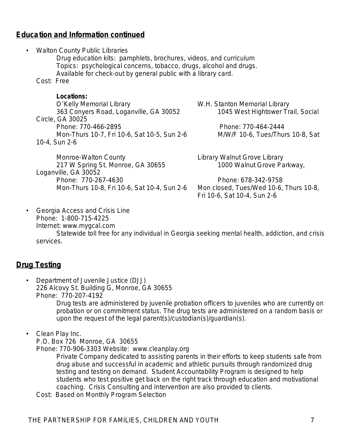# **Education and Information continued**

| $\bullet$ | <b>Walton County Public Libraries</b><br>Drug education kits: pamphlets, brochures, videos, and curriculum<br>Topics: psychological concerns, tobacco, drugs, alcohol and drugs.<br>Available for check-out by general public with a library card. |                                                                                                                                                            |
|-----------|----------------------------------------------------------------------------------------------------------------------------------------------------------------------------------------------------------------------------------------------------|------------------------------------------------------------------------------------------------------------------------------------------------------------|
|           | Cost: Free                                                                                                                                                                                                                                         |                                                                                                                                                            |
|           | Locations:<br>O'Kelly Memorial Library<br>363 Conyers Road, Loganville, GA 30052<br>Circle, GA 30025<br>Phone: 770-466-2895<br>Mon-Thurs 10-7, Fri 10-6, Sat 10-5, Sun 2-6<br>10-4, Sun 2-6                                                        | W.H. Stanton Memorial Library<br>1045 West Hightower Trail, Social<br>Phone: 770-464-2444<br>M/W/F 10-6, Tues/Thurs 10-8, Sat                              |
|           | Monroe-Walton County<br>217 W Spring St. Monroe, GA 30655<br>Loganville, GA 30052<br>Phone: 770-267-4630<br>Mon-Thurs 10-8, Fri 10-6, Sat 10-4, Sun 2-6                                                                                            | Library Walnut Grove Library<br>1000 Walnut Grove Parkway,<br>Phone: 678-342-9758<br>Mon closed, Tues/Wed 10-6, Thurs 10-8,<br>Fri 10-6, Sat 10-4, Sun 2-6 |

• Georgia Access and Crisis Line Phone: 1-800-715-4225 Internet: www.mygcal.com

*Statewide toll free for any individual in Georgia seeking mental health, addiction, and crisis services.*

# **Drug Testing**

• Department of Juvenile Justice (DJJ) 226 Alcovy St. Building G, Monroe, GA 30655 Phone: 770-207-4192

*Drug tests are administered by juvenile probation officers to juveniles who are currently on probation or on commitment status. The drug tests are administered on a random basis or upon the request of the legal parent(s)/custodian(s)/guardian(s).*

#### • Clean Play Inc.

P.O. Box 726 Monroe, GA 30655

Phone: 770-906-3303 Website: [www.cleanplay.org](http://www.cleanplay.org)

*Private Company dedicated to assisting parents in their efforts to keep students safe from drug abuse and successful in academic and athletic pursuits through randomized drug testing and testing on demand. Student Accountability Program is designed to help students who test positive get back on the right track through education and motivational coaching. Crisis Consulting and Intervention are also provided to clients.*

Cost: Based on Monthly Program Selection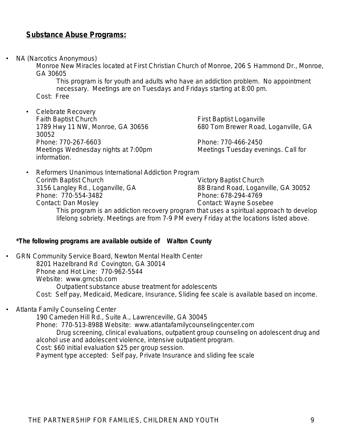## **Substance Abuse Programs:**

• NA (Narcotics Anonymous)

Monroe New Miracles located at First Christian Church of Monroe, 206 S Hammond Dr., Monroe, GA 30605

*This program is for youth and adults who have an addiction problem. No appointment necessary. Meetings are on Tuesdays and Fridays starting at 8:00 pm.* Cost: Free

• Celebrate Recovery Faith Baptist Church<br>1789 Hwy 11 NW, Monroe, GA 30656 **First Baptist Loganville**, GA 1789 Hwy 11 NW, Monroe, GA 30656 30052 Phone: 770-267-6603<br>Meetings Wednesday nights at 7:00pm Meetings Tuesday evenings. Call for *Meetings Wednesday nights at 7:00pm information.*

• Reformers Unanimous International Addiction Program Corinth Baptist Church Victory Baptist Church 3156 Langley Rd., Loganville, GA 88 Brand Road, Loganville, GA 30052<br>Phone: 770-554-3482<br>Phone: 678-294-4769 Phone: 770-554-3482 Contact: Dan Mosley Contact: Wayne Sosebee *This program is an addiction recovery program that uses a spiritual approach to develop lifelong sobriety. Meetings are from 7-9 PM every Friday at the locations listed above.*

#### *\*The following programs are available outside of Walton County*

- GRN Community Service Board, Newton Mental Health Center 8201 Hazelbrand Rd Covington, GA 30014 Phone and Hot Line: 770-962-5544 Website: [www.grncsb.com](http://www.grncsb.com) *Outpatient substance abuse treatment for adolescents* Cost: Self pay, Medicaid, Medicare, Insurance, Sliding fee scale is available based on income.
- Atlanta Family Counseling Center

190 Cameden Hill Rd., Suite A., Lawrenceville, GA 30045 Phone: 770-513-8988 Website: [www.atlantafamilycounselingcenter.com](http://www.atlantafamilycounselingcenter.com) *Drug screening, clinical evaluations, outpatient group counseling on adolescent drug and alcohol use and adolescent violence, intensive outpatient program.* Cost: \$60 initial evaluation \$25 per group session. Payment type accepted: Self pay, Private Insurance and sliding fee scale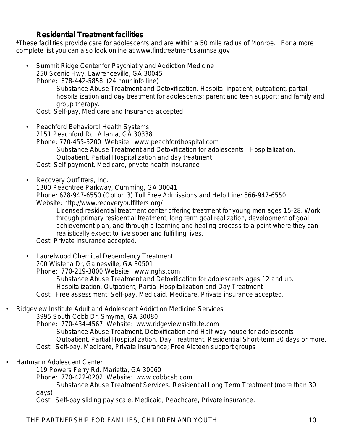# **Residential Treatment facilities**

\*These facilities provide care for adolescents and are within a 50 mile radius of Monroe. For a more complete list you can also look online at [www.findtreatment.samhsa.gov](http://www.findtreatment.samhsa.gov)

• Summit Ridge Center for Psychiatry and Addiction Medicine 250 Scenic Hwy. Lawrenceville, GA 30045

Phone: 678-442-5858 (24 hour info line) *Substance Abuse Treatment and Detoxification. Hospital inpatient, outpatient, partial* 

*hospitalization and day treatment for adolescents; parent and teen support; and family and group therapy.* 

Cost: Self-pay, Medicare and Insurance accepted

- Peachford Behavioral Health Systems 2151 Peachford Rd. Atlanta, GA 30338 Phone: 770-455-3200 Website: [www.peachfordhospital.com](http://www.peachfordhospital.com) *Substance Abuse Treatment and Detoxification for adolescents. Hospitalization, Outpatient, Partial Hospitalization and day treatment* Cost: Self-payment, Medicare, private health insurance
- Recovery Outfitters, Inc.

1300 Peachtree Parkway, Cumming, GA 30041

Phone: 678-947-6550 (Option 3) Toll Free Admissions and Help Line: 866-947-6550 Website: http://www.recoveryoutfitters.org/

*Licensed residential treatment center offering treatment for young men ages 15-28. Work through primary residential treatment, long term goal realization, development of goal achievement plan, and through a learning and healing process to a point where they can realistically expect to live sober and fulfilling lives.*

Cost: Private insurance accepted.

- Laurelwood Chemical Dependency Treatment 200 Wisteria Dr, Gainesville, GA 30501 Phone: 770-219-3800 Website: [www.nghs.com](http://www.nghs.com) *Substance Abuse Treatment and Detoxification for adolescents ages 12 and up. Hospitalization, Outpatient, Partial Hospitalization and Day Treatment* Cost: Free assessment; Self-pay, Medicaid, Medicare, Private insurance accepted.
- Ridgeview Institute Adult and Adolescent Addiction Medicine Services

3995 South Cobb Dr. Smyrna, GA 30080

Phone: 770-434-4567 Website: [www.ridgeviewinstitute.com](http://www.ridgeviewinstitute.com) *Substance Abuse Treatment, Detoxification and Half-way house for adolescents. Outpatient, Partial Hospitalization, Day Treatment, Residential Short-term 30 days or more.* Cost: Self-pay, Medicare, Private insurance; Free Alateen support groups

• Hartmann Adolescent Center

119 Powers Ferry Rd. Marietta, GA 30060

Phone: 770-422-0202 Website: [www.cobbcsb.com](http://www.cobbcsb.com)

*Substance Abuse Treatment Services. Residential Long Term Treatment (more than 30 days)*

Cost: Self-pay sliding pay scale, Medicaid, Peachcare, Private insurance.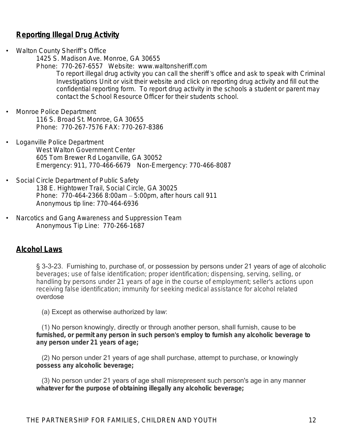# **Reporting Illegal Drug Activity**

• Walton County Sheriff's Office

1425 S. Madison Ave. Monroe, GA 30655

Phone: 770-267-6557 Website: www.waltonsheriff.com *To report illegal drug activity you can call the sheriff's office and ask to speak with Criminal* Investigations Unit or visit their website and click on reporting drug activity and fill out the *confidential reporting form. To report drug activity in the schools a student or parent may contact the School Resource Officer for their students school.*

- Monroe Police Department 116 S. Broad St. Monroe, GA 30655 Phone: 770-267-7576 FAX: 770-267-8386
	- Loganville Police Department West Walton Government Center 605 Tom Brewer Rd Loganville, GA 30052 Emergency: 911, 770-466-6679 Non-Emergency: 770-466-8087
	- Social Circle Department of Public Safety 138 E. Hightower Trail, Social Circle, GA 30025 Phone: 770-464-2366 8:00am – 5:00pm, after hours call 911 Anonymous tip line: 770-464-6936
	- Narcotics and Gang Awareness and Suppression Team Anonymous Tip Line: 770-266-1687

### **Alcohol Laws**

§ 3-3-23. Furnishing to, purchase of, or possession by persons under 21 years of age of alcoholic *beverages; use of false identification; proper identification; dispensing, serving, selling, or handling by persons under 21 years of age in the course of employment; seller's actions upon receiving false identification; immunity for seeking medical assistance for alcohol related*  overdose

(a) Except as otherwise authorized by law:

 (1) No person knowingly, directly or through another person, shall furnish, cause to be *furnished, or permit any person in such person's employ to furnish any alcoholic beverage to any person under 21 years of age;*

 (2) No person under 21 years of age shall purchase, attempt to purchase, or knowingly *possess any alcoholic beverage;*

 (3) No person under 21 years of age shall misrepresent such person's age in any manner *whatever for the purpose of obtaining illegally any alcoholic beverage;*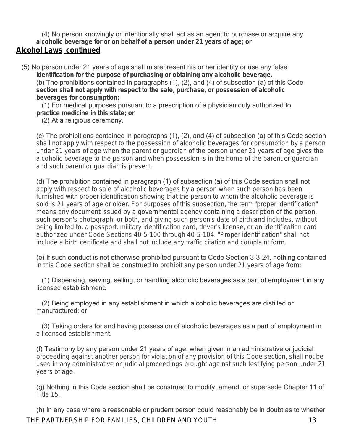(4) No person knowingly or intentionally shall act as an agent to purchase or acquire any *alcoholic beverage for or on behalf of a person under 21 years of age; or*

# **Alcohol Laws continued**

 (5) No person under 21 years of age shall misrepresent his or her identity or use any false **identification for the purpose of purchasing or obtaining any alcoholic beverage.** (b) The prohibitions contained in paragraphs (1), (2), and (4) of subsection (a) of this Code **section shall not apply with respect to the sale, purchase, or possession of alcoholic beverages for consumption:**

 (1) For medical purposes pursuant to a prescription of a physician duly authorized to **practice medicine in this state; or**

(2) At a religious ceremony.

(c) The prohibitions contained in paragraphs (1), (2), and (4) of subsection (a) of this Code section shall not apply with respect to the possession of alcoholic beverages for consumption by a person under 21 years of age when the parent or guardian of the person under 21 years of age gives the alcoholic beverage to the person and when possession is in the home of the parent or guardian and such parent or guardian is present.

(d) The prohibition contained in paragraph (1) of subsection (a) of this Code section shall not apply with respect to sale of alcoholic beverages by a person when such person has been furnished with proper identification showing that the person to whom the alcoholic beverage is sold is 21 years of age or older. For purposes of this subsection, the term "proper identification" means any document issued by a governmental agency containing a description of the person, such person's photograph, or both, and giving such person's date of birth and includes, without being limited to, a passport, military identification card, driver's license, or an identification card authorized under Code Sections 40-5-100 through 40-5-104. "Proper identification" shall not include a birth certificate and shall not include any traffic citation and complaint form.

(e) If such conduct is not otherwise prohibited pursuant to Code Section 3-3-24, nothing contained in this Code section shall be construed to prohibit any person under 21 years of age from:

 (1) Dispensing, serving, selling, or handling alcoholic beverages as a part of employment in any licensed establishment;

 (2) Being employed in any establishment in which alcoholic beverages are distilled or manufactured; or

 (3) Taking orders for and having possession of alcoholic beverages as a part of employment in a licensed establishment.

(f) Testimony by any person under 21 years of age, when given in an administrative or judicial proceeding against another person for violation of any provision of this Code section, shall not be used in any administrative or judicial proceedings brought against such testifying person under 21 years of age.

(g) Nothing in this Code section shall be construed to modify, amend, or supersede Chapter 11 of Title 15.

THE PARTNERSHIP FOR FAMILIES, CHILDREN AND YOUTH 13 (h) In any case where a reasonable or prudent person could reasonably be in doubt as to whether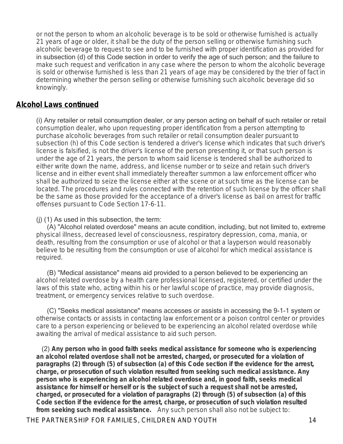or not the person to whom an alcoholic beverage is to be sold or otherwise furnished is actually 21 years of age or older, it shall be the duty of the person selling or otherwise furnishing such alcoholic beverage to request to see and to be furnished with proper identification as provided for in subsection (d) of this Code section in order to verify the age of such person; and the failure to make such request and verification in any case where the person to whom the alcoholic beverage is sold or otherwise furnished is less than 21 years of age may be considered by the trier of fact in determining whether the person selling or otherwise furnishing such alcoholic beverage did so knowingly.

### **Alcohol Laws continued**

(i) Any retailer or retail consumption dealer, or any person acting on behalf of such retailer or retail consumption dealer, who upon requesting proper identification from a person attempting to purchase alcoholic beverages from such retailer or retail consumption dealer pursuant to subsection (h) of this Code section is tendered a driver's license which indicates that such driver's license is falsified, is not the driver's license of the person presenting it, or that such person is under the age of 21 years, the person to whom said license is tendered shall be authorized to either write down the name, address, and license number or to seize and retain such driver's license and in either event shall immediately thereafter summon a law enforcement officer who shall be authorized to seize the license either at the scene or at such time as the license can be located. The procedures and rules connected with the retention of such license by the officer shall be the same as those provided for the acceptance of a driver's license as bail on arrest for traffic offenses pursuant to Code Section 17-6-11.

#### (j) (1) As used in this subsection, the term:

 (A) "Alcohol related overdose" means an acute condition, including, but not limited to, extreme physical illness, decreased level of consciousness, respiratory depression, coma, mania, or death, resulting from the consumption or use of alcohol or that a layperson would reasonably believe to be resulting from the consumption or use of alcohol for which medical assistance is required.

 (B) "Medical assistance" means aid provided to a person believed to be experiencing an alcohol related overdose by a health care professional licensed, registered, or certified under the laws of this state who, acting within his or her lawful scope of practice, may provide diagnosis, treatment, or emergency services relative to such overdose.

 (C) "Seeks medical assistance" means accesses or assists in accessing the 9-1-1 system or otherwise contacts or assists in contacting law enforcement or a poison control center or provides care to a person experiencing or believed to be experiencing an alcohol related overdose while awaiting the arrival of medical assistance to aid such person.

 (2) **Any person who in good faith seeks medical assistance for someone who is experiencing an alcohol related overdose shall not be arrested, charged, or prosecuted for a violation of paragraphs (2) through (5) of subsection (a) of this Code section if the evidence for the arrest, charge, or prosecution of such violation resulted from seeking such medical assistance. Any person who is experiencing an alcohol related overdose and, in good faith, seeks medical assistance for himself or herself or is the subject of such a request shall not be arrested, charged, or prosecuted for a violation of paragraphs (2) through (5) of subsection (a) of this Code section if the evidence for the arrest, charge, or prosecution of such violation resulted from seeking such medical assistance.** Any such person shall also not be subject to: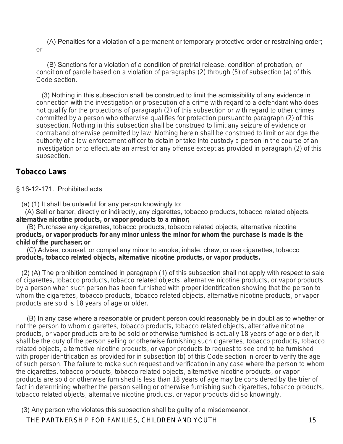(A) Penalties for a violation of a permanent or temporary protective order or restraining order; or

 (B) Sanctions for a violation of a condition of pretrial release, condition of probation, or condition of parole based on a violation of paragraphs (2) through (5) of subsection (a) of this Code section.

 (3) Nothing in this subsection shall be construed to limit the admissibility of any evidence in connection with the investigation or prosecution of a crime with regard to a defendant who does not qualify for the protections of paragraph (2) of this subsection or with regard to other crimes committed by a person who otherwise qualifies for protection pursuant to paragraph (2) of this subsection. Nothing in this subsection shall be construed to limit any seizure of evidence or contraband otherwise permitted by law. Nothing herein shall be construed to limit or abridge the authority of a law enforcement officer to detain or take into custody a person in the course of an investigation or to effectuate an arrest for any offense except as provided in paragraph (2) of this subsection.

# **Tobacco Laws**

§ 16-12-171. Prohibited acts

(a) (1) It shall be unlawful for any person knowingly to:

 (A) Sell or barter, directly or indirectly, any cigarettes, tobacco products, tobacco related objects, **alternative nicotine products, or vapor products to a minor;**

 (B) Purchase any cigarettes, tobacco products, tobacco related objects, alternative nicotine **products, or vapor products for any minor unless the minor for whom the purchase is made is the child of the purchaser; or**

 (C) Advise, counsel, or compel any minor to smoke, inhale, chew, or use cigarettes, tobacco **products, tobacco related objects, alternative nicotine products, or vapor products.**

 (2) (A) The prohibition contained in paragraph (1) of this subsection shall not apply with respect to sale of cigarettes, tobacco products, tobacco related objects, alternative nicotine products, or vapor products by a person when such person has been furnished with proper identification showing that the person to whom the cigarettes, tobacco products, tobacco related objects, alternative nicotine products, or vapor products are sold is 18 years of age or older.

 (B) In any case where a reasonable or prudent person could reasonably be in doubt as to whether or not the person to whom cigarettes, tobacco products, tobacco related objects, alternative nicotine products, or vapor products are to be sold or otherwise furnished is actually 18 years of age or older, it shall be the duty of the person selling or otherwise furnishing such cigarettes, tobacco products, tobacco related objects, alternative nicotine products, or vapor products to request to see and to be furnished with proper identification as provided for in subsection (b) of this Code section in order to verify the age of such person. The failure to make such request and verification in any case where the person to whom the cigarettes, tobacco products, tobacco related objects, alternative nicotine products, or vapor products are sold or otherwise furnished is less than 18 years of age may be considered by the trier of fact in determining whether the person selling or otherwise furnishing such cigarettes, tobacco products, tobacco related objects, alternative nicotine products, or vapor products did so knowingly.

(3) Any person who violates this subsection shall be guilty of a misdemeanor.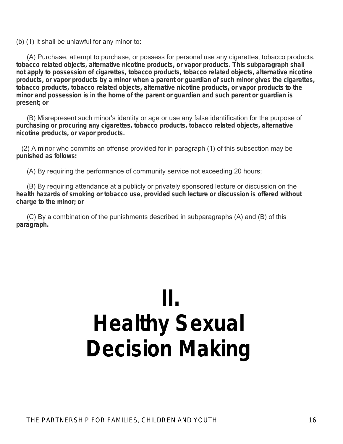(b) (1) It shall be unlawful for any minor to:

 (A) Purchase, attempt to purchase, or possess for personal use any cigarettes, tobacco products, **tobacco related objects, alternative nicotine products, or vapor products. This subparagraph shall not apply to possession of cigarettes, tobacco products, tobacco related objects, alternative nicotine products, or vapor products by a minor when a parent or guardian of such minor gives the cigarettes, tobacco products, tobacco related objects, alternative nicotine products, or vapor products to the minor and possession is in the home of the parent or guardian and such parent or guardian is present; or**

 (B) Misrepresent such minor's identity or age or use any false identification for the purpose of **purchasing or procuring any cigarettes, tobacco products, tobacco related objects, alternative nicotine products, or vapor products.**

 (2) A minor who commits an offense provided for in paragraph (1) of this subsection may be **punished as follows:**

(A) By requiring the performance of community service not exceeding 20 hours;

 (B) By requiring attendance at a publicly or privately sponsored lecture or discussion on the **health hazards of smoking or tobacco use, provided such lecture or discussion is offered without charge to the minor; or**

 (C) By a combination of the punishments described in subparagraphs (A) and (B) of this **paragraph.**

# **II. Healthy Sexual Decision Making**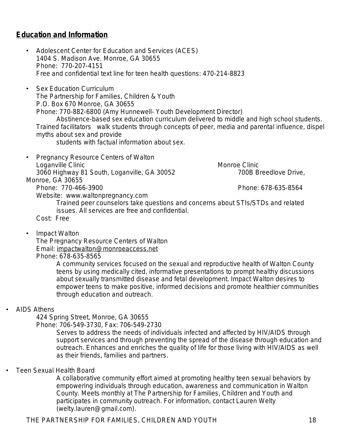# **Education and Information**

- Adolescent Center for Education and Services (ACES) 1404 S. Madison Ave. Monroe, GA 30655 Phone: 770-207-4151 Free and confidential text line for teen health questions: 470-214-8823
- Sex Education Curriculum The Partnership for Families, Children & Youth P.O. Box 670 Monroe, GA 30655 Phone: 770-882-6800 (Amy Hunnewell- Youth Development Director) *Abstinence-based sex education curriculum delivered to middle and high school students. Trained facilitators walk students through concepts of peer, media and parental influence, dispel myths about sex and provide*

*students with factual information about sex.*

• Pregnancy Resource Centers of Walton Loganville Clinic **Monroe Clinic** Monroe Clinic 3060 Highway 81 South, Loganville, GA 30052 700B Breedlove Drive, Monroe, GA 30655

Phone: 770-466-3900 Phone: 678-635-8564

Website: www.waltonpregnancy.com

*Trained peer counselors take questions and concerns about STIs/STDs and related issues. All services are free and confidential.* 

Cost: Free

• Impact Walton

The Pregnancy Resource Centers of Walton Email: [impactwalton@monroeaccess.net](mailto:impactwalton@monroeaccess.net) Phone: 678-635-8565

> *A community services focused on the sexual and reproductive health of Walton County teens by using medically cited, informative presentations to prompt healthy discussions about sexually transmitted disease and fetal development. Impact Walton desires to empower teens to make positive, informed decisions and promote healthier communities through education and outreach.*

#### • AIDS Athens

424 Spring Street, Monroe, GA 30655

Phone: 706-549-3730, Fax: 706-549-2730

*Serves to address the needs of individuals infected and affected by HIV/AIDS through support services and through preventing the spread of the disease through education and outreach. Enhances and enriches the quality of life for those living with HIV/AIDS as well as their friends, families and partners.* 

• Teen Sexual Health Board

*A collaborative community effort aimed at promoting healthy teen sexual behaviors by empowering individuals through education, awareness and communication in Walton County. Meets monthly at The Partnership for Families, Children and Youth and participates in community outreach. For information, contact Lauren Welty (welty.lauren@gmail.com).*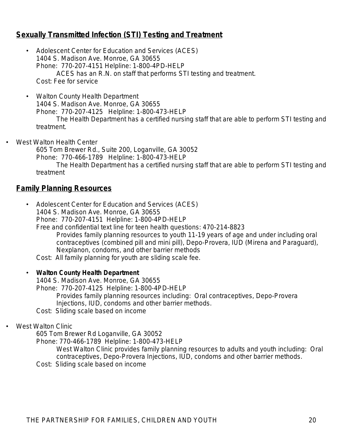# **Sexually Transmitted Infection (STI) Testing and Treatment**

- Adolescent Center for Education and Services (ACES) 1404 S. Madison Ave. Monroe, GA 30655 Phone: 770-207-4151 Helpline: 1-800-4PD-HELP *ACES has an R.N. on staff that performs STI testing and treatment.* Cost: Fee for service
- Walton County Health Department 1404 S. Madison Ave. Monroe, GA 30655 Phone: 770-207-4125 Helpline: *1-800-473-HELP The Health Department has a certified nursing staff that are able to perform STI testing and treatment.*
- West Walton Health Center

605 Tom Brewer Rd., Suite 200, Loganville, GA 30052 Phone: 770-466-1789 Helpline*: 1-800-473-HELP The Health Department has a certified nursing staff that are able to perform STI testing and treatment*

## **Family Planning Resources**

• Adolescent Center for Education and Services (ACES) 1404 S. Madison Ave. Monroe, GA 30655 Phone: 770-207-4151 Helpline: 1-800-4PD-HELP Free and confidential text line for teen health questions: 470-214-8823 *Provides family planning resources to youth 11-19 years of age and under including oral contraceptives (combined pill and mini pill), Depo-Provera, IUD (Mirena and Paraguard), Nexplanon, condoms, and other barrier methods* Cost: All family planning for youth are sliding scale fee.

#### • **Walton County Health Department**

1404 S. Madison Ave. Monroe, GA 30655

Phone: 770-207-4125 Helpline: 1-800-4PD-HELP

*Provides family planning resources including: Oral contraceptives, Depo-Provera Injections, IUD, condoms and other barrier methods.* 

Cost: Sliding scale based on income

#### • West Walton Clinic

605 Tom Brewer Rd Loganville, GA 30052

Phone: 770-466-1789 Helpline: *1-800-473-HELP*

- West Walton Clinic provides family planning resources to adults and youth including: Oral *contraceptives, Depo-Provera Injections, IUD, condoms and other barrier methods.*
- Cost: Sliding scale based on income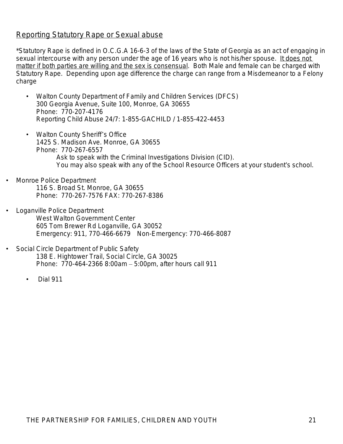# Reporting Statutory Rape or Sexual abuse

\*Statutory Rape is defined in O.C.G.A 16-6-3 of the laws of the State of Georgia as an act of engaging in sexual intercourse with any person under the age of 16 years who is not his/her spouse. It does not matter if both parties are willing and the sex is consensual. Both Male and female can be charged with Statutory Rape. Depending upon age difference the charge can range from a Misdemeanor to a Felony charge

- Walton County Department of Family and Children Services (DFCS) 300 Georgia Avenue, Suite 100, Monroe, GA 30655 Phone: 770-207-4176 Reporting Child Abuse 24/7: 1-855-GACHILD / 1-855-422-4453
- Walton County Sheriff's Office 1425 S. Madison Ave. Monroe, GA 30655 Phone: 770-267-6557 *Ask to speak with the Criminal Investigations Division (CID). You may also speak with any of the School Resource Officers at your student*'*s school.*
- Monroe Police Department 116 S. Broad St. Monroe, GA 30655 Phone: 770-267-7576 FAX: 770-267-8386
- Loganville Police Department West Walton Government Center 605 Tom Brewer Rd Loganville, GA 30052 Emergency: 911, 770-466-6679 Non-Emergency: 770-466-8087
- Social Circle Department of Public Safety 138 E. Hightower Trail, Social Circle, GA 30025 Phone: 770-464-2366 8:00am – 5:00pm, after hours call 911
	- Dial 911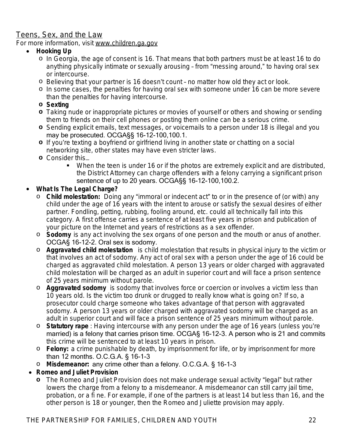# Teens, Sex, and the Law

For more information, visit [www.children.ga.gov](http://www.children.ga.gov)

#### **Hooking Up**

- o In Georgia, the age of consent is 16. That means that both partners must be at least 16 to do anything physically intimate or sexually arousing – from "messing around," to having oral sex or intercourse.
- o Believing that your partner is 16 doesn't count no matter how old they act or look.
- o In some cases, the penalties for having oral sex with someone under 16 can be more severe than the penalties for having intercourse.
- **o Sexting**
- **o** Taking nude or inappropriate pictures or movies of yourself or others and showing or sending them to friends on their cell phones or posting them online can be a serious crime.
- **o** Sending explicit emails, text messages, or voicemails to a person under 18 is illegal and you may be prosecuted. OCGA§§ 16-12-100,100.1.
- **o** If you're texting a boyfriend or girlfriend living in another state or chatting on a social networking site, other states may have even stricter laws.
- **o** Consider this…
	- When the teen is under 16 or if the photos are extremely explicit and are distributed, the District Attorney can charge offenders with a felony carrying a significant prison sentence of up to 20 years. OCGA§§ 16-12-100,100.2.

### **What Is The Legal Charge?**

- o **Child molestation:** Doing any "immoral or indecent act" to or in the presence of (or with) any child under the age of 16 years with the intent to arouse or satisfy the sexual desires of either partner. Fondling, petting, rubbing, fooling around, etc. could all technically fall into this category. A first offense carries a sentence of at least five years in prison and publication of your picture on the Internet and years of restrictions as a sex offender.
- o **Sodomy** is any act involving the sex organs of one person and the mouth or anus of another. OCGA§ 16-12-2. Oral sex is sodomy.
- o **Aggravated child molestation** is child molestation that results in physical injury to the victim or that involves an act of sodomy. Any act of oral sex with a person under the age of 16 could be charged as aggravated child molestation. A person 13 years or older charged with aggravated child molestation will be charged as an adult in superior court and will face a prison sentence of 25 years minimum without parole.
- o **Aggravated sodomy** is sodomy that involves force or coercion or involves a victim less than 10 years old. Is the victim too drunk or drugged to really know what is going on? If so, a prosecutor could charge someone who takes advantage of that person with aggravated sodomy. A person 13 years or older charged with aggravated sodomy will be charged as an adult in superior court and will face a prison sentence of 25 years minimum without parole.
- o **Statutory rape** : Having intercourse with any person under the age of 16 years (unless you're married) is a felony that carries prison time. OCGA§ 16-12-3. A person who is 21 and commits this crime will be sentenced to at least 10 years in prison.
- o **Felony:** a crime punishable by death, by imprisonment for life, or by imprisonment for more than 12 months. O.C.G.A. § 16-1-3
- o **Misdemeanor:** any crime other than a felony. O.C.G.A. § 16-1-3
- **Romeo and Juliet Provision**
	- **o** The Romeo and Juliet Provision does not make underage sexual activity "legal" but rather lowers the charge from a felony to a misdemeanor. A misdemeanor can still carry jail time, probation, or a fi ne. For example, if one of the partners is at least 14 but less than 16, and the other person is 18 or younger, then the Romeo and Juliette provision may apply.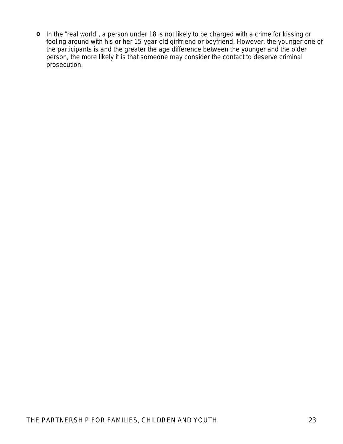**o** In the "real world", a person under 18 is not likely to be charged with a crime for kissing or fooling around with his or her 15-year-old girlfriend or boyfriend. However, the younger one of the participants is and the greater the age difference between the younger and the older person, the more likely it is that someone may consider the contact to deserve criminal prosecution.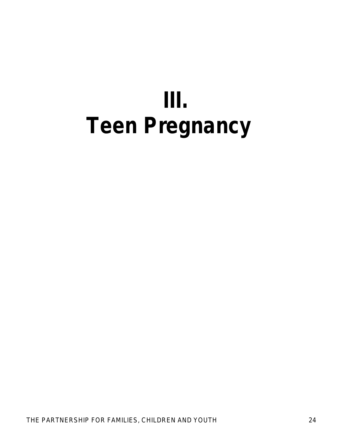# **III. Teen Pregnancy**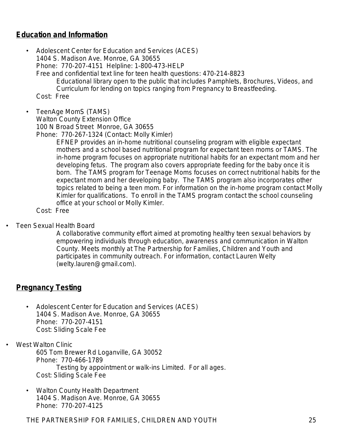# **Education and Information**

• Adolescent Center for Education and Services (ACES) 1404 S. Madison Ave. Monroe, GA 30655 Phone: 770-207-4151 Helpline: 1-800-473-HELP Free and confidential text line for teen health questions: 470-214-8823 *Educational library open to the public that includes Pamphlets, Brochures, Videos, and Curriculum for lending on topics ranging from Pregnancy to Breastfeeding.* Cost: Free

• TeenAge MomS (TAMS) Walton County Extension Office 100 N Broad Street Monroe, GA 30655

Phone: 770-267-1324 (Contact: Molly Kimler)

*EFNEP provides an in-home nutritional counseling program with eligible expectant mothers and a school based nutritional program for expectant teen moms or TAMS. The in-home program focuses on appropriate nutritional habits for an expectant mom and her*  developing fetus. The program also covers appropriate feeding for the baby once it is born. The TAMS program for Teenage Moms focuses on correct nutritional habits for the *expectant mom and her developing baby. The TAMS program also incorporates other topics related to being a teen mom. For information on the in-home program contact Molly Kimler for qualifications. To enroll in the TAMS program contact the school counseling office at your school or Molly Kimler.*

Cost: Free

• Teen Sexual Health Board

*A collaborative community effort aimed at promoting healthy teen sexual behaviors by empowering individuals through education, awareness and communication in Walton County. Meets monthly at The Partnership for Families, Children and Youth and participates in community outreach. For information, contact Lauren Welty (welty.lauren@gmail.com).*

# **Pregnancy Testing**

• Adolescent Center for Education and Services (ACES) 1404 S. Madison Ave. Monroe, GA 30655 Phone: 770-207-4151 Cost: Sliding Scale Fee

West Walton Clinic 605 Tom Brewer Rd Loganville, GA 30052 Phone: 770-466-1789 *Testing by appointment or walk-ins Limited. For all ages.* Cost: Sliding Scale Fee

• Walton County Health Department 1404 S. Madison Ave. Monroe, GA 30655 Phone: 770-207-4125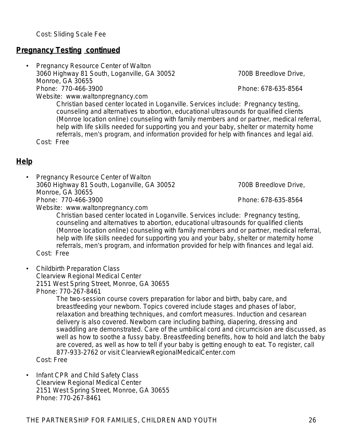Cost: Sliding Scale Fee

## **Pregnancy Testing continued**

• Pregnancy Resource Center of Walton 3060 Highway 81 South, Loganville, GA 30052 700B Breedlove Drive, Monroe, GA 30655<br>Phone: 770-466-3900 Website: www.waltonpregnancy.com

*Christian based center located in Loganville. Services include: Pregnancy testing, counseling and alternatives to abortion, educational ultrasounds for qualified clients (Monroe location online) counseling with family members and or partner, medical referral, help with life skills needed for supporting you and your baby, shelter or maternity home referrals, men*'*s program, and information provided for help with finances and legal aid.* Cost: Free

**Help**

- Pregnancy Resource Center of Walton 3060 Highway 81 South, Loganville, GA 30052 700B Breedlove Drive, Monroe, GA 30655 Phone: 770-466-3900 Phone: 678-635-8564 Website: www.waltonpregnancy.com
	- *Christian based center located in Loganville. Services include: Pregnancy testing, counseling and alternatives to abortion, educational ultrasounds for qualified clients (Monroe location online) counseling with family members and or partner, medical referral, help with life skills needed for supporting you and your baby, shelter or maternity home referrals, men*'*s program, and information provided for help with finances and legal aid.*

Cost: Free

• Childbirth Preparation Class Clearview Regional Medical Center 2151 West Spring Street, Monroe, GA 30655 Phone: 770-267-8461

> *The two-session course covers preparation for labor and birth, baby care, and breastfeeding your newborn. Topics covered include stages and phases of labor, relaxation and breathing techniques, and comfort measures. Induction and cesarean delivery is also covered. Newborn care including bathing, diapering, dressing and swaddling are demonstrated. Care of the umbilical cord and circumcision are discussed, as well as how to soothe a fussy baby. Breastfeeding benefits, how to hold and latch the baby*  are covered, as well as how to tell if your baby is getting enough to eat. To register, call *877-933-2762 or visit ClearviewRegionalMedicalCenter.com*

Cost: Free

• Infant CPR and Child Safety Class Clearview Regional Medical Center 2151 West Spring Street, Monroe, GA 30655 Phone: 770-267-8461

Phone: 678-635-8564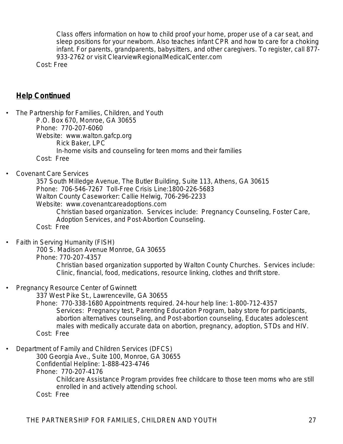*Class offers information on how to child proof your home, proper use of a car seat, and sleep positions for your newborn. Also teaches infant CPR and how to care for a choking infant. For parents, grandparents, babysitters, and other caregivers. To register, call 877- 933-2762 or visit ClearviewRegionalMedicalCenter.com*

Cost: Free

#### **Help Continued**

• The Partnership for Families, Children, and Youth P.O. Box 670, Monroe, GA 30655 Phone: 770-207-6060 Website: www.walton.gafcp.org Rick Baker, LPC *In-home visits and counseling for teen moms and their families* Cost: Free • Covenant Care Services 357 South Milledge Avenue, The Butler Building, Suite 113, Athens, GA 30615 Phone: 706-546-7267 Toll-Free Crisis Line:1800-226-5683 Walton County Caseworker: Callie Helwig, 706-296-2233 Website: www.covenantcareadoptions.com *Christian based organization*. *Services include: Pregnancy Counseling, Foster Care, Adoption Services, and Post-Abortion Counseling.* Cost: Free • Faith in Serving Humanity (FISH) 700 S. Madison Avenue Monroe, GA 30655 Phone: 770-207-4357 *Christian based organization supported by Walton County Churches. Services include: Clinic, financial, food, medications, resource linking, clothes and thrift store.* • Pregnancy Resource Center of Gwinnett 337 West Pike St., Lawrenceville, GA 30655 Phone: 770-338-1680 Appointments required. 24-hour help line: 1-800-712-4357 *Services: Pregnancy test, Parenting Education Program, baby store for participants, abortion alternatives counseling, and Post-abortion counseling, Educates adolescent males with medically accurate data on abortion, pregnancy, adoption, STDs and HIV.* Cost: Free • Department of Family and Children Services (DFCS) 300 Georgia Ave., Suite 100, Monroe, GA 30655 Confidential Helpline: 1-888-423-4746 Phone: 770-207-4176 *Childcare Assistance Program provides free childcare to those teen moms who are still enrolled in and actively attending school.* Cost: Free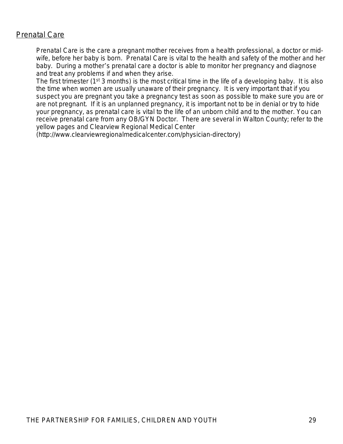# Prenatal Care

Prenatal Care is the care a pregnant mother receives from a health professional, a doctor or midwife, before her baby is born. Prenatal Care is vital to the health and safety of the mother and her baby. During a mother's prenatal care a doctor is able to monitor her pregnancy and diagnose and treat any problems if and when they arise.

The first trimester (1<sup>st</sup> 3 months) is the most critical time in the life of a developing baby. It is also the time when women are usually unaware of their pregnancy. It is very important that if you suspect you are pregnant you take a pregnancy test as soon as possible to make sure you are or are not pregnant. If it is an unplanned pregnancy, it is important not to be in denial or try to hide your pregnancy, as prenatal care is vital to the life of an unborn child and to the mother. You can receive prenatal care from any OB/GYN Doctor. There are several in Walton County; refer to the yellow pages and Clearview Regional Medical Center

(http://www.clearviewregionalmedicalcenter.com/physician-directory)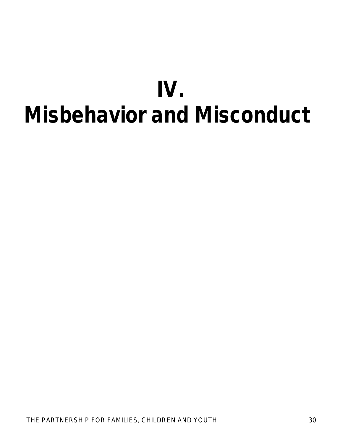# **IV. Misbehavior and Misconduct**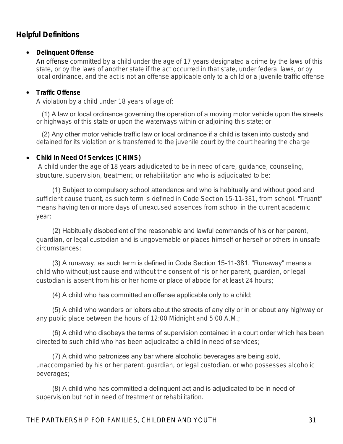# **Helpful Definitions**

#### **Delinquent Offense**

An offense committed by a child under the age of 17 years designated a crime by the laws of this state, or by the laws of another state if the act occurred in that state, under federal laws, or by local ordinance, and the act is not an offense applicable only to a child or a juvenile traffic offense

#### **Traffic Offense**

A violation by a child under 18 years of age of:

 (1) A law or local ordinance governing the operation of a moving motor vehicle upon the streets or highways of this state or upon the waterways within or adjoining this state; or

 (2) Any other motor vehicle traffic law or local ordinance if a child is taken into custody and detained for its violation or is transferred to the juvenile court by the court hearing the charge

#### **Child In Need Of Services (CHINS)**

A child under the age of 18 years adjudicated to be in need of care, guidance, counseling, structure, supervision, treatment, or rehabilitation and who is adjudicated to be:

 (1) Subject to compulsory school attendance and who is habitually and without good and sufficient cause truant, as such term is defined in Code Section 15-11-381, from school. "Truant" means having ten or more days of unexcused absences from school in the current academic year;

 (2) Habitually disobedient of the reasonable and lawful commands of his or her parent, guardian, or legal custodian and is ungovernable or places himself or herself or others in unsafe circumstances;

 (3) A runaway, as such term is defined in Code Section 15-11-381. "Runaway" means a child who without just cause and without the consent of his or her parent, guardian, or legal custodian is absent from his or her home or place of abode for at least 24 hours;

(4) A child who has committed an offense applicable only to a child;

 (5) A child who wanders or loiters about the streets of any city or in or about any highway or any public place between the hours of 12:00 Midnight and 5:00 A.M.;

 (6) A child who disobeys the terms of supervision contained in a court order which has been directed to such child who has been adjudicated a child in need of services;

 (7) A child who patronizes any bar where alcoholic beverages are being sold, unaccompanied by his or her parent, guardian, or legal custodian, or who possesses alcoholic beverages;

 (8) A child who has committed a delinquent act and is adjudicated to be in need of supervision but not in need of treatment or rehabilitation.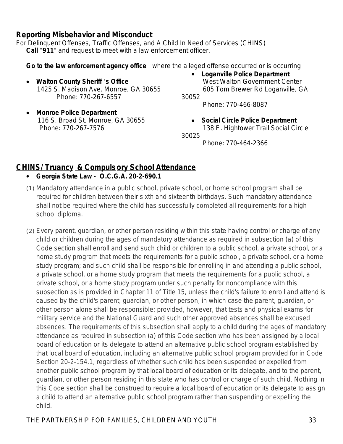## **Reporting Misbehavior and Misconduct**

For Delinquent Offenses, Traffic Offenses, and A Child In Need of Services (CHINS) **Call** "**911**" and request to meet with a law enforcement officer.

**Go to the law enforcement agency office** where the alleged offense occurred or is occurring

- **Walton County Sheriff** '**s Office** 1425 S. Madison Ave. Monroe, GA 30655 Phone: 770-267-6557
- **Monroe Police Department** 116 S. Broad St. Monroe, GA 30655 Phone: 770-267-7576

 **Loganville Police Department** West Walton Government Center 605 Tom Brewer Rd Loganville, GA

30052

Phone: 770-466-8087

 **Social Circle Police Department** 138 E. Hightower Trail Social Circle

30025

Phone: 770-464-2366

# **CHINS/ Truancy & Compuls ory School Attendance**

- **Georgia State Law O.C.G.A. 20-2-690.1**
- (1) Mandatory attendance in a public school, private school, or home school program shall be required for children between their sixth and sixteenth birthdays. Such mandatory attendance shall not be required where the child has successfully completed all requirements for a high school diploma.
- (2) Every parent, guardian, or other person residing within this state having control or charge of any child or children during the ages of mandatory attendance as required in subsection (a) of this Code section shall enroll and send such child or children to a public school, a private school, or a home study program that meets the requirements for a public school, a private school, or a home study program; and such child shall be responsible for enrolling in and attending a public school, a private school, or a home study program that meets the requirements for a public school, a private school, or a home study program under such penalty for noncompliance with this subsection as is provided in Chapter 11 of Title 15, unless the child's failure to enroll and attend is caused by the child's parent, guardian, or other person, in which case the parent, guardian, or other person alone shall be responsible; provided, however, that tests and physical exams for military service and the National Guard and such other approved absences shall be excused absences. The requirements of this subsection shall apply to a child during the ages of mandatory attendance as required in subsection (a) of this Code section who has been assigned by a local board of education or its delegate to attend an alternative public school program established by that local board of education, including an alternative public school program provided for in Code Section 20-2-154.1, regardless of whether such child has been suspended or expelled from another public school program by that local board of education or its delegate, and to the parent, guardian, or other person residing in this state who has control or charge of such child. Nothing in this Code section shall be construed to require a local board of education or its delegate to assign a child to attend an alternative public school program rather than suspending or expelling the child.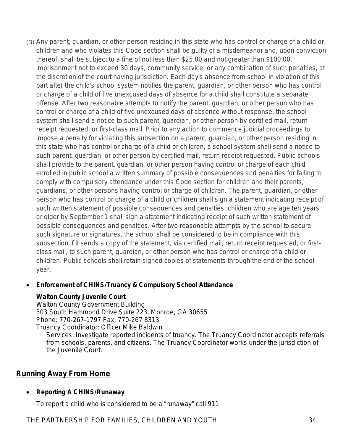(3) Any parent, guardian, or other person residing in this state who has control or charge of a child or children and who violates this Code section shall be guilty of a misdemeanor and, upon conviction thereof, shall be subject to a fine of not less than \$25.00 and not greater than \$100.00, imprisonment not to exceed 30 days, community service, or any combination of such penalties, at the discretion of the court having jurisdiction. Each day's absence from school in violation of this part after the child's school system notifies the parent, guardian, or other person who has control or charge of a child of five unexcused days of absence for a child shall constitute a separate offense. After two reasonable attempts to notify the parent, guardian, or other person who has control or charge of a child of five unexcused days of absence without response, the school system shall send a notice to such parent, guardian, or other person by certified mail, return receipt requested, or first-class mail. Prior to any action to commence judicial proceedings to impose a penalty for violating this subsection on a parent, guardian, or other person residing in this state who has control or charge of a child or children, a school system shall send a notice to such parent, guardian, or other person by certified mail, return receipt requested. Public schools shall provide to the parent, guardian, or other person having control or charge of each child enrolled in public school a written summary of possible consequences and penalties for failing to comply with compulsory attendance under this Code section for children and their parents, guardians, or other persons having control or charge of children. The parent, guardian, or other person who has control or charge of a child or children shall sign a statement indicating receipt of such written statement of possible consequences and penalties; children who are age ten years or older by September 1 shall sign a statement indicating receipt of such written statement of possible consequences and penalties. After two reasonable attempts by the school to secure such signature or signatures, the school shall be considered to be in compliance with this subsection if it sends a copy of the statement, via certified mail, return receipt requested, or firstclass mail, to such parent, guardian, or other person who has control or charge of a child or children. Public schools shall retain signed copies of statements through the end of the school year.

#### **Enforcement of CHINS/Truancy & Compulsory School Attendance**

#### **Walton County Juvenile Court**

Walton County Government Building 303 South Hammond Drive Suite 223, Monroe, GA 30655 Phone: 770-267-1797 Fax: 770-267 8313 Truancy Coordinator: Officer Mike Baldwin

*Services: Investigate reported incidents of truancy. The Truancy Coordinator accepts referrals from schools, parents, and citizens. The Truancy Coordinator works under the jurisdiction of the Juvenile Court.*

# **Running Away From Home**

#### **Reporting A CHINS/Runaway**

To report a child who is considered to be a "runaway" call 911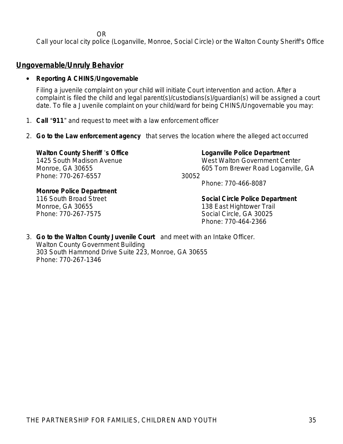OR

Call your local city police (Loganville, Monroe, Social Circle) or the Walton County Sheriff's Office

#### **Ungovernable/Unruly Behavior**

#### **Reporting A CHINS/Ungovernable**

Filing a juvenile complaint on your child will initiate Court intervention and action. After a complaint is filed the child and legal parent(s)/custodians(s)/guardian(s) will be assigned a court date. To file a Juvenile complaint on your child/ward for being CHINS/Ungovernable you may:

- 1. **Call** "**911**" and request to meet with a law enforcement officer
- 2. **Go to the Law enforcement agency** that serves the location where the alleged act occurred

**Walton County Sheriff** '**s Office** 1425 South Madison Avenue Monroe, GA 30655 Phone: 770-267-6557

**Monroe Police Department** 116 South Broad Street Monroe, GA 30655 Phone: 770-267-7575

**Loganville Police Department**

West Walton Government Center 605 Tom Brewer Road Loganville, GA 30052

Phone: 770-466-8087

# **Social Circle Police Department** 138 East Hightower Trail

Social Circle, GA 30025 Phone: 770-464-2366

3. **Go to the Walton County Juvenile Court** and meet with an Intake Officer. Walton County Government Building 303 South Hammond Drive Suite 223, Monroe, GA 30655 Phone: 770-267-1346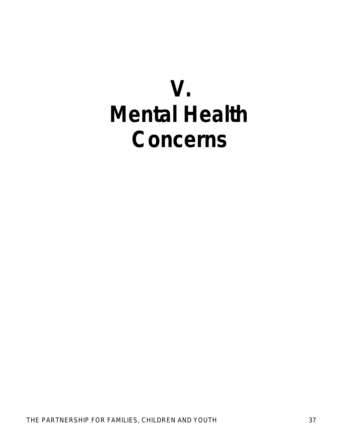# **V. Mental Health Concerns**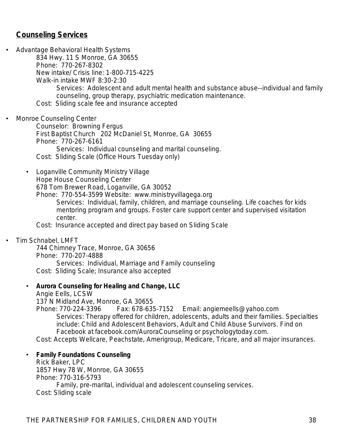# **Counseling Services**

• Advantage Behavioral Health Systems 834 Hwy. 11 S Monroe, GA 30655 Phone: 770-267-8302 New intake/ Crisis line: 1-800-715-4225 Walk-in intake MWF 8:30-2:30 *Services: Adolescent and adult mental health and substance abuse--individual and family counseling, group therapy, psychiatric medication maintenance.* Cost: Sliding scale fee and insurance accepted

• Monroe Counseling Center

Counselor: Browning Fergus First Baptist Church 202 McDaniel St, Monroe, GA 30655 Phone: 770-267-6161 *Services: Individual counseling and marital counseling.* Cost: Sliding Scale (Office Hours Tuesday only)

• Loganville Community Ministry Village Hope House Counseling Center 678 Tom Brewer Road, Loganville, GA 30052

Phone: 770-554-3599 Website: www.ministryvillagega.org *Services: Individual, family, children, and marriage counseling. Life coaches for kids mentoring program and groups. Foster care support center and supervised visitation center.* 

Cost: Insurance accepted and direct pay based on Sliding Scale

• Tim Schnabel, LMFT

744 Chimney Trace, Monroe, GA 30656 Phone: 770-207-4888 *Services: Individual, Marriage and Family counseling* Cost: Sliding Scale; Insurance also accepted

• **Aurora Counseling for Healing and Change, LLC**

Angie Eells, LCSW

137 N Midland Ave, Monroe, GA 30655

Phone: 770-224-3396 Fax: 678-635-7152 Email: angiemeells@yahoo.com *Services: Therapy offered for children, adolescents, adults and their families. Specialties include: Child and Adolescent Behaviors, Adult and Child Abuse Survivors. Find on Facebook at facebook.com/AuroraCounseling or psychologytoday.com.*

Cost: Accepts Wellcare, Peachstate, Amerigroup, Medicare, Tricare, and all major insurances.

#### • **Family Foundations Counseling**

Rick Baker, LPC 1857 Hwy 78 W, Monroe, GA 30655 Phone: 770-316-5793 *Family, pre-marital, individual and adolescent counseling services.* Cost: Sliding scale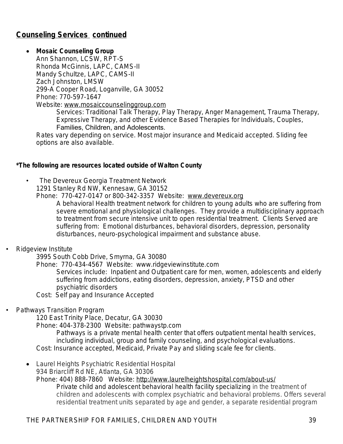# **Counseling Services continued**

#### **Mosaic Counseling Group**

Ann Shannon, LCSW, RPT-S Rhonda McGinnis, LAPC, CAMS-II Mandy Schultze, LAPC, CAMS-II Zach Johnston, LMSW 299-A Cooper Road, Loganville, GA 30052 Phone: 770-597-1647 Website: [www.mosaiccounselinggroup.com](http://www.mosaiccounselinggroup.com)

> *Services: Traditional Talk Therapy, Play Therapy, Anger Management, Trauma Therapy, Expressive Therapy, and other Evidence Based Therapies for Individuals, Couples,*

#### Families, Children, and Adolescents.

Rates vary depending on service. Most major insurance and Medicaid accepted. Sliding fee options are also available.

#### *\*The following are resources located outside of Walton County*

- The Devereux Georgia Treatment Network
	- 1291 Stanley Rd NW, Kennesaw, GA 30152

Phone: 770-427-0147 or 800-342-3357 Website: [www.devereux.org](http://www.devereux.org)

*A behavioral Health treatment network for children to young adults who are suffering from severe emotional and physiological challenges. They provide a multidisciplinary approach to treatment from secure intensive unit to open residential treatment. Clients Served are suffering from: Emotional disturbances, behavioral disorders, depression, personality disturbances, neuro-psychological impairment and substance abuse.*

#### • Ridgeview Institute

3995 South Cobb Drive, Smyrna, GA 30080

Phone: 770-434-4567 Website: [www.ridgeviewinstitute.com](http://www.ridgeviewinstitute.com)

*Services include: Inpatient and Outpatient care for men, women, adolescents and elderly suffering from addictions, eating disorders, depression, anxiety, PTSD and other psychiatric disorders*

Cost: Self pay and Insurance Accepted

#### • Pathways Transition Program

120 East Trinity Place, Decatur, GA 30030

Phone: 404-378-2300 Website: pathwaystp.com

*Pathways is a private mental health center that offers outpatient mental health services, including individual, group and family counseling, and psychological evaluations.* Cost: Insurance accepted, Medicaid, Private Pay and sliding scale fee for clients.

 Laurel Heights Psychiatric Residential Hospital 934 Briarcliff Rd NE, Atlanta, GA 30306

Phone: 404) 888-7860 Website:<http://www.laurelheightshospital.com/about-us/> *Private child and adolescent behavioral health facility specializing in the treatment of children and adolescents with complex psychiatric and behavioral problems. Offers several residential treatment units separated by age and gender, a separate residential program*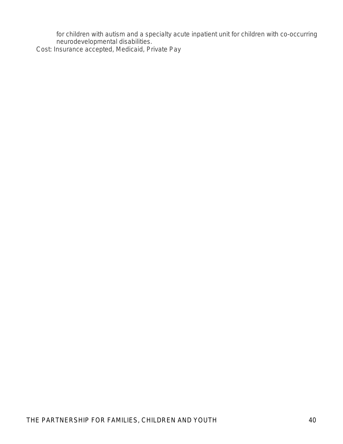for children with autism and a specialty acute inpatient unit for children with co-occurring *neurodevelopmental disabilities.* Cost: Insurance accepted, Medicaid, Private Pay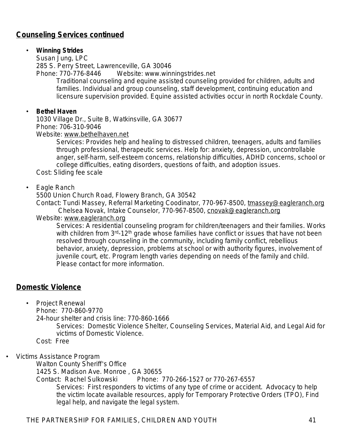# **Counseling Services continued**

#### • **Winning Strides**

Susan Jung, LPC 285 S. Perry Street, Lawrenceville, GA 30046 Phone: 770-776-8446 Website: www.winningstrides.net

*Traditional counseling and equine assisted counseling provided for children, adults and*  families. Individual and group counseling, staff development, continuing education and *licensure supervision provided. Equine assisted activities occur in north Rockdale County.*

#### • **Bethel Haven**

1030 Village Dr., Suite B, Watkinsville, GA 30677 Phone: 706-310-9046

Website: [www.bethelhaven.net](http://www.bethelhaven.net)

*Services: Provides help and healing to distressed children, teenagers, adults and families through professional, therapeutic services. Help for: anxiety, depression, uncontrollable anger, self-harm, self-esteem concerns, relationship difficulties, ADHD concerns, school or college difficulties, eating disorders, questions of faith, and adoption issues.*

Cost: Sliding fee scale

#### • Eagle Ranch

5500 Union Church Road, Flowery Branch, GA 30542

Contact: Tundi Massey, Referral Marketing Coodinator, 770-967-8500, [tmassey@eagleranch.org](mailto:tmassey@eagleranch.org) Chelsea Novak, Intake Counselor, 770-967-8500, [cnovak@eagleranch.org](mailto:cnovak@eagleranch.org)

#### Website: [www.eagleranch.org](http://www.eagleranch.org)

*Services: A residential counseling program for children/teenagers and their families. Works with children from 3rd-12th grade whose families have conflict or issues that have not been resolved through counseling in the community, including family conflict, rebellious behavior, anxiety, depression, problems at school or with authority figures, involvement of juvenile court, etc. Program length varies depending on needs of the family and child. Please contact for more information.* 

### **Domestic Violence**

- Project Renewal
	- Phone: 770-860-9770

24-hour shelter and crisis line: 770-860-1666

*Services: Domestic Violence Shelter, Counseling Services, Material Aid, and Legal Aid for victims of Domestic Violence.*

Cost: Free

• Victims Assistance Program

Walton County Sheriff's Office

1425 S. Madison Ave. Monroe , GA 30655

Contact: Rachel Sulkowski Phone: 770-266-1527 or 770-267-6557

*Services: First responders to victims of any type of crime or accident. Advocacy to help the victim locate available resources, apply for Temporary Protective Orders (TPO), Find legal help, and navigate the legal system.*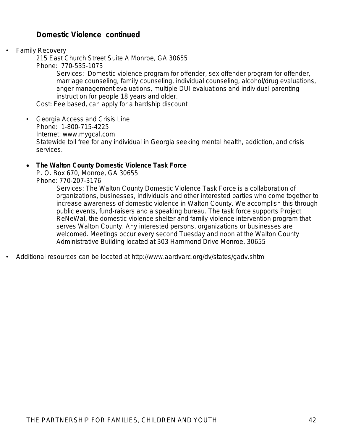# **Domestic Violence continued**

• Family Recovery

215 East Church Street Suite A Monroe, GA 30655 Phone: 770-535-1073

*Services: Domestic violence program for offender, sex offender program for offender, marriage counseling, family counseling, individual counseling, alcohol/drug evaluations,*  anger management evaluations, multiple DUI evaluations and individual parenting *instruction for people 18 years and older.* 

Cost: Fee based, can apply for a hardship discount

• Georgia Access and Crisis Line Phone: 1-800-715-4225 Internet: www.mygcal.com Statewide toll free for any individual in Georgia seeking mental health, addiction, and crisis services.

#### **The Walton County Domestic Violence Task Force**

P. O. Box 670, Monroe, GA 30655 Phone: 770-207-3176

> Services: The Walton County Domestic Violence Task Force is a collaboration of *organizations, businesses, individuals and other interested parties who come together to increase awareness of domestic violence in Walton County. We accomplish this through public events, fund-raisers and a speaking bureau. The task force supports Project ReNeWal, the domestic violence shelter and family violence intervention program that serves Walton County. Any interested persons, organizations or businesses are welcomed. Meetings occur every second Tuesday and noon at the Walton County Administrative Building located at 303 Hammond Drive Monroe, 30655*

• Additional resources can be located at <http://www.aardvarc.org/dv/states/gadv.shtml>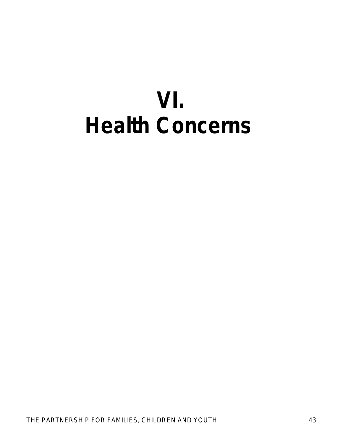# **VI. Health Concerns**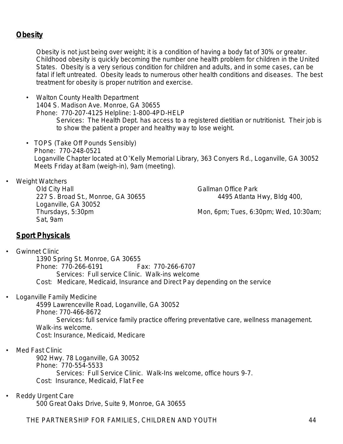# **Obesity**

Obesity is not just being over weight; it is a condition of having a body fat of 30% or greater. Childhood obesity is quickly becoming the number one health problem for children in the United States. Obesity is a very serious condition for children and adults, and in some cases, can be fatal if left untreated. Obesity leads to numerous other health conditions and diseases. The best treatment for obesity is proper nutrition and exercise.

- Walton County Health Department 1404 S. Madison Ave. Monroe, GA 30655 Phone: 770-207-4125 Helpline: 1-800-4PD-HELP *Services: The Health Dept. has access to a registered dietitian or nutritionist. Their job is to show the patient a proper and healthy way to lose weight.*
- TOPS (Take Off Pounds Sensibly) Phone: 770-248-0521 Loganville Chapter located at O'Kelly Memorial Library, 363 Conyers Rd., Loganville, GA 30052 Meets Friday at 8am (weigh-in), 9am (meeting).

Weight Watchers

Old City Hall **Gallman Office Park** 227 S. Broad St., Monroe, GA 30655 4495 Atlanta Hwy, Bldg 400, Loganville, GA 30052 Sat, 9am

Thursdays, 5:30pm Mon, 6pm; Tues, 6:30pm; Wed, 10:30am;

### **Sport Physicals**

**Gwinnet Clinic** 1390 Spring St. Monroe, GA 30655 Phone: 770-266-6191 Fax: 770-266-6707 *Services: Full service Clinic. Walk-ins welcome* Cost: Medicare, Medicaid, Insurance and Direct Pay depending on the service

• Loganville Family Medicine

4599 Lawrenceville Road, Loganville, GA 30052 Phone: 770-466-8672 *Services: full service family practice offering preventative care, wellness management. Walk-ins welcome.* Cost: Insurance, Medicaid, Medicare

- Med Fast Clinic 902 Hwy. 78 Loganville, GA 30052 Phone: 770-554-5533 *Services: Full Service Clinic. Walk-Ins welcome, office hours 9-7.* Cost: Insurance, Medicaid, Flat Fee
- Reddy Urgent Care

500 Great Oaks Drive, Suite 9, Monroe, GA 30655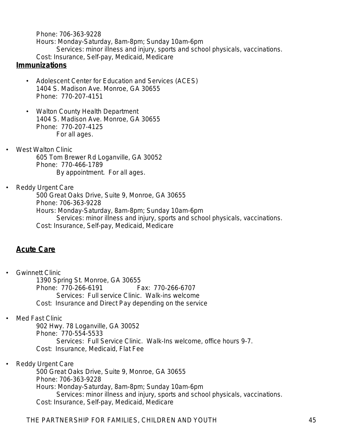Phone: 706-363-9228 Hours: Monday-Saturday, 8am-8pm; Sunday 10am-6pm *Services: minor illness and injury, sports and school physicals, vaccinations.* Cost: Insurance, Self-pay, Medicaid, Medicare

### **Immunizations**

- Adolescent Center for Education and Services (ACES) 1404 S. Madison Ave. Monroe, GA 30655 Phone: 770-207-4151
- Walton County Health Department 1404 S. Madison Ave. Monroe, GA 30655 Phone: 770-207-4125 *For all ages.*
- West Walton Clinic 605 Tom Brewer Rd Loganville, GA 30052 Phone: 770-466-1789 *By appointment. For all ages.*
- Reddy Urgent Care

500 Great Oaks Drive, Suite 9, Monroe, GA 30655 Phone: 706-363-9228 Hours: Monday-Saturday, 8am-8pm; Sunday 10am-6pm

*Services: minor illness and injury, sports and school physicals, vaccinations.* Cost: Insurance, Self-pay, Medicaid, Medicare

# **Acute Care**

- Gwinnett Clinic 1390 Spring St. Monroe, GA 30655 Phone: 770-266-6191 *Services: Full service Clinic. Walk-ins welcome* Cost: Insurance and Direct Pay depending on the service
- Med Fast Clinic

902 Hwy. 78 Loganville, GA 30052 Phone: 770-554-5533 *Services: Full Service Clinic. Walk-Ins welcome, office hours 9-7.* Cost: Insurance, Medicaid, Flat Fee

Reddy Urgent Care

500 Great Oaks Drive, Suite 9, Monroe, GA 30655 Phone: 706-363-9228 Hours: Monday-Saturday, 8am-8pm; Sunday 10am-6pm *Services: minor illness and injury, sports and school physicals, vaccinations.* Cost: Insurance, Self-pay, Medicaid, Medicare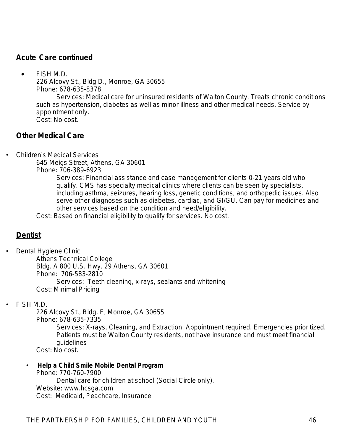# **Acute Care continued**

 FISH M.D. 226 Alcovy St., Bldg D., Monroe, GA 30655 Phone: 678-635-8378

*Services: Medical care for uninsured residents of Walton County. Treats chronic conditions such as hypertension, diabetes as well as minor illness and other medical needs. Service by appointment only.*  Cost: No cost.

## **Other Medical Care**

• Children's Medical Services

645 Meigs Street, Athens, GA 30601

Phone: 706-389-6923

*Services: Financial assistance and case management for clients 0-21 years old who qualify. CMS has specialty medical clinics where clients can be seen by specialists, including asthma, seizures, hearing loss, genetic conditions, and orthopedic issues. Also serve other diagnoses such as diabetes, cardiac, and GI/GU. Can pay for medicines and other services based on the condition and need/eligibility.* 

Cost: Based on financial eligibility to qualify for services. No cost.

# **Dentist**

• Dental Hygiene Clinic

Athens Technical College Bldg. A 800 U.S. Hwy. 29 Athens, GA 30601 Phone: 706-583-2810 *Services: Teeth cleaning, x-rays, sealants and whitening* Cost: Minimal Pricing

#### • FISH M.D.

226 Alcovy St., Bldg. F, Monroe, GA 30655 Phone: 678-635-7335 *Services: X-rays, Cleaning, and Extraction. Appointment required. Emergencies prioritized. Patients must be Walton County residents, not have insurance and must meet financial guidelines* Cost: No cost.

• **Help a Child Smile Mobile Dental Program** Phone: 770-760-7900 *Dental care for children at school (Social Circle only).* Website: www.hcsga.com Cost: Medicaid, Peachcare, Insurance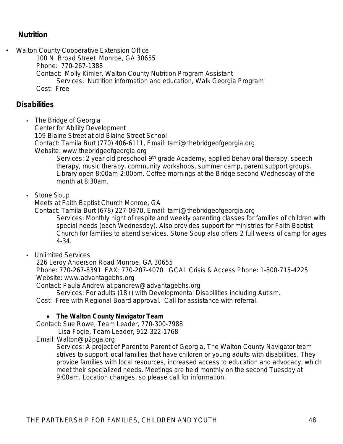# **Nutrition**

• Walton County Cooperative Extension Office

100 N. Broad Street Monroe, GA 30655

Phone: 770-267-1388

Contact: Molly Kimler, Walton County Nutrition Program Assistant

*Services: Nutrition information and education, Walk Georgia Program*

Cost: Free

## **Disabilities**

• The Bridge of Georgia

Center for Ability Development

109 Blaine Street at old Blaine Street School

Contact: Tamila Burt (770) 406-6111, Email: [tami@thebridgeofgeorgia.org](mailto:tami@thebridgeofgeorgia.org)

Website: www.thebridgeofgeorgia.org

*Services: 2 year old preschool-9th grade Academy, applied behavioral therapy, speech therapy, music therapy, community workshops, summer camp, parent support groups. Library open 8:00am-2:00pm. Coffee mornings at the Bridge second Wednesday of the month at 8:30am.*

• Stone Soup

Meets at Faith Baptist Church Monroe, GA

Contact: Tamila Burt (678) 227-0970, Email: tami@thebridgeofgeorgia.org

*Services: Monthly night of respite and weekly parenting classes for families of children with special needs (each Wednesday). Also provides support for ministries for Faith Baptist Church for families to attend services. Stone Soup also offers 2 full weeks of camp for ages 4-34.*

• Unlimited Services

226 Leroy Anderson Road Monroe, GA 30655

 Phone: 770-267-8391 FAX: 770-207-4070 GCAL Crisis & Access Phone: 1-800-715-4225 Website: www.advantagebhs.org

Contact: Paula Andrew at pandrew@advantagebhs.org

*Services: For adults (18+) with Developmental Disabilities including Autism.*

Cost: Free with Regional Board approval. Call for assistance with referral.

#### **The Walton County Navigator Team**

Contact: Sue Rowe, Team Leader, 770-300-7988

Lisa Fogie, Team Leader, 912-322-1768

Email: [Walton@p2pga.org](mailto:Walton@p2pga.org)

*Services: A project of Parent to Parent of Georgia, The Walton County Navigator team strives to support local families that have children or young adults with disabilities. They provide families with local resources, increased access to education and advocacy, which meet their specialized needs. Meetings are held monthly on the second Tuesday at 9:00am. Location changes, so please call for information.*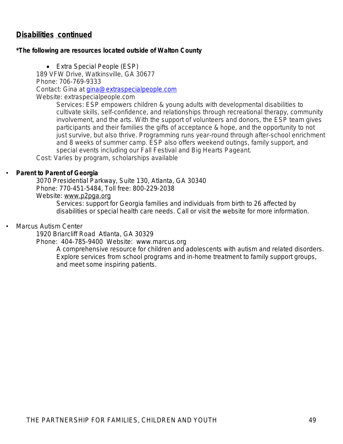# **Disabilities continued**

#### *\*The following are resources located outside of Walton County*

• Extra Special People (ESP) 189 VFW Drive, Watkinsville, GA 30677 Phone: 706-769-9333 Contact: Gina at [gina@extraspecialpeople.com](mailto:gina@extraspecialpeople.com) Website: extraspecialpeople.com

> *Services: ESP empowers children & young adults with developmental disabilities to cultivate skills, self-confidence, and relationships through recreational therapy, community involvement, and the arts. With the support of volunteers and donors, the ESP team gives participants and their families the gifts of acceptance & hope, and the opportunity to not just survive, but also thrive. Programming runs year-round through after-school enrichment* and 8 weeks of summer camp. ESP also offers weekend outings, family support, and *special events including our Fall Festival and Big Hearts Pageant.*

Cost: Varies by program, scholarships available

#### • **Parent to Parent of Georgia**

3070 Presidential Parkway, Suite 130, Atlanta, GA 30340 Phone: 770-451-5484, Toll free: 800-229-2038 Website: [www.p2pga.org](http://www.p2pga.org)

> *Services: support for Georgia families and individuals from birth to 26 affected by disabilities or special health care needs. Call or visit the website for more information.*

#### • Marcus Autism Center

1920 Briarcliff Road Atlanta, GA 30329

#### Phone: 404-785-9400 Website: [www.marcus.org](http://www.marcus.org)

*A comprehensive resource for children and adolescents with autism and related disorders. Explore services from school programs and in-home treatment to family support groups, and* [meet some inspiring patients](http://www.marcus.org/patientstories)*.*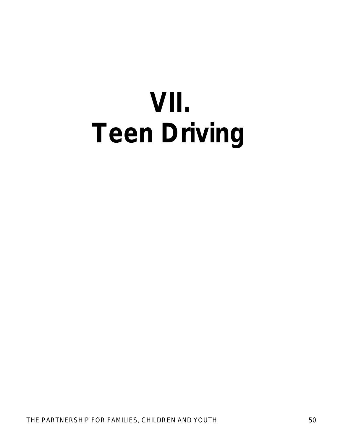# **VII. Teen Driving**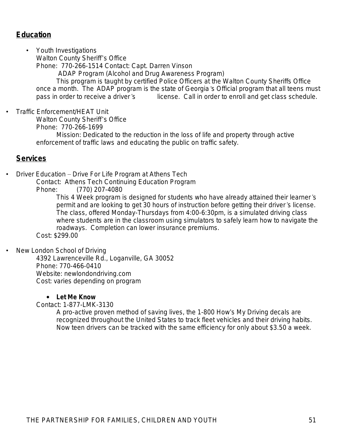# **Education**

• Youth Investigations Walton County Sheriff's Office

Phone: 770-266-1514 Contact: Capt. Darren Vinson

ADAP Program *(Alcohol and Drug Awareness Program)*

*This program is taught by certified Police Officers at the Walton County Sheriffs Office once a month. The ADAP program is the state of Georgia's Official program that all teens must pass in order to receive a driver's license. Call in order to enroll and get class schedule.*

• Traffic Enforcement/HEAT Unit

Walton County Sheriff's Office

Phone: 770-266-1699

Mission: Dedicated to the reduction in the loss of life and property through active enforcement of traffic laws and educating the public on traffic safety.

#### **Services**

• Driver Education – Drive For Life Program at Athens Tech

Contact: Athens Tech Continuing Education Program

Phone: (770) 207-4080

*This 4 Week program is designed for students who have already attained their learner's permit and are looking to get 30 hours of instruction before getting their driver's license. The class, offered Monday-Thursdays from 4:00-6:30pm, is a simulated driving class where students are in the classroom using simulators to safely learn how to navigate the roadways. Completion can lower insurance premiums.*

Cost: \$299.00

New London School of Driving

4392 Lawrenceville Rd., Loganville, GA 30052 Phone: 770-466-0410 Website: newlondondriving.com Cost: varies depending on program

#### **Let Me Know**

Contact: 1-877-LMK-3130

*A pro-active proven method of saving lives, the 1-800 How*'*s My Driving decals are recognized throughout the United States to track fleet vehicles and their driving habits. Now teen drivers can be tracked with the same efficiency for only about \$3.50 a week.*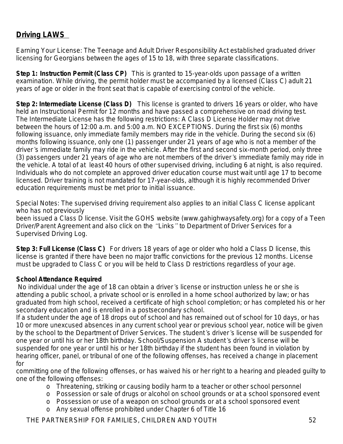# **Driving LAWS**

*Earning Your License: The Teenage and Adult Driver Responsibility Act established graduated driver licensing for Georgians between the ages of 15 to 18, with three separate classifications.*

*Step 1: Instruction Permit (Class CP) This is granted to 15-year-olds upon passage of a written examination. While driving, the permit holder must be accompanied by a licensed (Class C) adult 21 years of age or older in the front seat that is capable of exercising control of the vehicle.*

*Step 2: Intermediate License (Class D) This license is granted to drivers 16 years or older, who have held an Instructional Permit for 12 months and have passed a comprehensive on road driving test. The Intermediate License has the following restrictions: A Class D License Holder may not drive between the hours of 12:00 a.m. and 5:00 a.m. NO EXCEPTIONS. During the first six (6) months*  following issuance, only immediate family members may ride in the vehicle. During the second six (6) *months following issuance, only one (1) passenger under 21 years of age who is not a member of the driver's immediate family may ride in the vehicle. After the first and second six-month period, only three (3) passengers under 21 years of age who are not members of the driver's immediate family may ride in the vehicle. A total of at least 40 hours of other supervised driving, including 6 at night, is also required. Individuals who do not complete an approved driver education course must wait until age 17 to become licensed. Driver training is not mandated for 17-year-olds, although it is highly recommended Driver education requirements must be met prior to initial issuance.* 

*Special Notes: The supervised driving requirement also applies to an initial Class C license applicant who has not previously*

*been issued a Class D license. Visit the GOHS website (www.gahighwaysafety.org) for a copy of a Teen Driver/Parent Agreement and also click on the "Links" to Department of Driver Services for a Supervised Driving Log.*

*Step 3: Full License (Class C) For drivers 18 years of age or older who hold a Class D license, this license is granted if there have been no major traffic convictions for the previous 12 months. License must be upgraded to Class C or you will be held to Class D restrictions regardless of your age.*

#### *School Attendance Required*

 *No individual under the age of 18 can obtain a driver's license or instruction unless he or she is attending a public school, a private school or is enrolled in a home school authorized by law; or has graduated from high school, received a certificate of high school completion; or has completed his or her secondary education and is enrolled in a postsecondary school.*

*If a student under the age of 18 drops out of school and has remained out of school for 10 days, or has*  10 or more unexcused absences in any current school year or previous school year, notice will be given *by the school to the Department of Driver Services. The student's driver's license will be suspended for one year or until his or her 18th birthday. School/Suspension A student's driver's license will be suspended for one year or until his or her 18th birthday if the student has been found in violation by*  hearing officer, panel, or tribunal of one of the following offenses, has received a change in placement *for*

*committing one of the following offenses, or has waived his or her right to a hearing and pleaded guilty to one of the following offenses:*

- *o Threatening, striking or causing bodily harm to a teacher or other school personnel*
- *o Possession or sale of drugs or alcohol on school grounds or at a school sponsored event*
- *o Possession or use of a weapon on school grounds or at a school sponsored event*
- *o Any sexual offense prohibited under Chapter 6 of Title 16*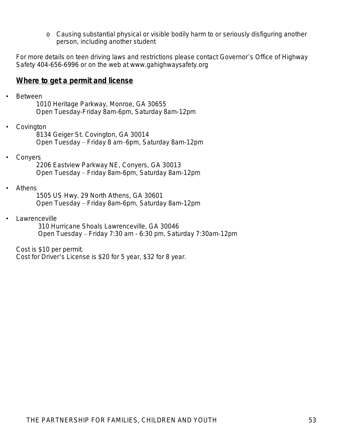*o Causing substantial physical or visible bodily harm to or seriously disfiguring another person, including another student*

For more details on teen driving laws and restrictions please contact Governor's Office of Highway Safety 404-656-6996 or on the web at [www.gahighwaysafety.org](http://www.gahighwaysafety.org)

#### **Where to get a permit and license**

• Between

1010 Heritage Parkway, Monroe, GA 30655 Open Tuesday-Friday 8am-6pm, Saturday 8am-12pm

**Covington** 

8134 Geiger St. Covington, GA 30014 Open Tuesday – Friday 8 am–6pm, Saturday 8am-12pm

• Conyers

2206 Eastview Parkway NE, Conyers, GA 30013 Open Tuesday – Friday 8am-6pm, Saturday 8am-12pm

• Athens

1505 US Hwy. 29 North Athens, GA 30601 Open Tuesday – Friday 8am-6pm, Saturday 8am-12pm

**Lawrenceville** 

 310 Hurricane Shoals Lawrenceville, GA 30046 Open Tuesday – Friday 7:30 am - 6:30 pm, Saturday 7:30am-12pm

Cost is \$10 per permit.

Cost for Driver's License is \$20 for 5 year, \$32 for 8 year.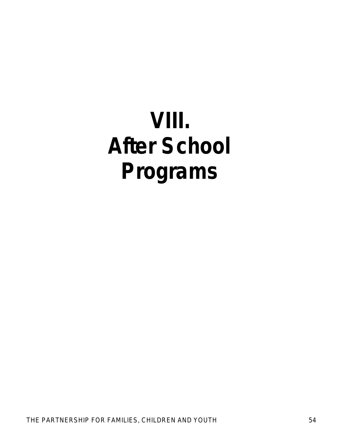# **VIII. After School Programs**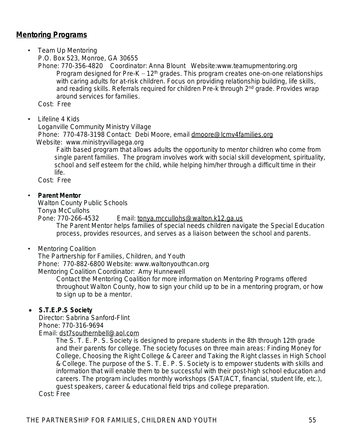# **Mentoring Programs**

• Team Up Mentoring P.O. Box 523, Monroe, GA 30655

 Phone: 770-356-4820 Coordinator: Anna Blount Website:www.teamupmentoring.org *Program designed for Pre-K – 12th grades. This program creates one-on-one relationships with caring adults for at-risk children. Focus on providing relationship building, life skills, and reading skills. Referrals required for children Pre-k through 2nd grade. Provides wrap around services for families.* 

Cost: Free

• Lifeline 4 Kids

Loganville Community Ministry Village

 Phone: 770-478-3198 Contact: Debi Moore, email [dmoore@lcmv4families.org](mailto:dmoore@lcmv4families.org) Website: www.ministryvillagega.org

*Faith based program that allows adults the opportunity to mentor children who come from single parent families. The program involves work with social skill development, spirituality, school and self esteem for the child, while helping him/her through a difficult time in their life.*

Cost: Free

#### • **Parent Mentor**

Walton County Public Schools Tonya McCullohs

Pone: 770-266-4532 Email: [tonya.mccullohs@walton.k12.ga.us](mailto:tonya.mccullohs@walton.k12.ga.us) *The Parent Mentor helps families of special needs children navigate the Special Education process, provides resources, and serves as a liaison between the school and parents.*

• Mentoring Coalition

 The Partnership for Families, Children, and Youth Phone: 770-882-6800 Website: www.waltonyouthcan.org Mentoring Coalition Coordinator: Amy Hunnewell

*Contact the Mentoring Coalition for more information on Mentoring Programs offered throughout Walton County, how to sign your child up to be in a mentoring program, or how to sign up to be a mentor.*

#### **S.T.E.P.S Society**

Director: Sabrina Sanford-Flint Phone: 770-316-9694 Email: [dst7southernbell@aol.com](mailto:dst7southernbell@aol.com)

*The S. T. E. P. S. Society is designed to prepare students in the 8th through 12th grade and their parents for college. The society focuses on three main areas: Finding Money for College, Choosing the Right College & Career and Taking the Right classes in High School & College. The purpose of the S. T. E. P. S. Society is to empower students with skills and information that will enable them to be successful with their post-high school education and careers. The program includes monthly workshops (SAT/ACT, financial, student life, etc.), guest speakers, career & educational field trips and college preparation.* Cost: Free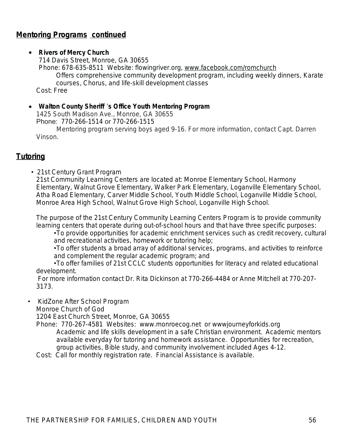# **Mentoring Programs continued**

#### **Rivers of Mercy Church**

714 Davis Street, Monroe, GA 30655 Phone: 678-635-8511 Website: flowingriver.org, [www.facebook.com/romchurch](http://www.facebook.com/romchurch) *Offers comprehensive community development program, including weekly dinners, Karate courses, Chorus, and life-skill development classes*

Cost: Free

#### **Walton County Sheriff** '**s Office Youth Mentoring Program**

1425 South Madison Ave., Monroe, GA 30655 Phone: [770-266-1514](tel:770-266-1514) or [770-266-1515](tel:770-266-1515)

*Mentoring program serving boys aged 9-16. For more information, contact Capt. Darren Vinson.*

# **Tutoring**

• 21st Century Grant Program 21st Community Learning Centers are located at: Monroe Elementary School, Harmony Elementary, Walnut Grove Elementary, Walker Park Elementary, Loganville Elementary School, Atha Road Elementary, Carver Middle School, Youth Middle School, Loganville Middle School, Monroe Area High School, Walnut Grove High School, Loganville High School.

*The purpose of the 21st Century Community Learning Centers Program is to provide community learning centers that operate during out-of-school hours and that have three specific purposes:*

•*To provide opportunities for academic enrichment services such as credit recovery, cultural and recreational activities, homework or tutoring help;*

•*To offer students a broad array of additional services, programs, and activities to reinforce and complement the regular academic program; and*

•*To offer families of 21st CCLC students opportunities for literacy and related educational development.*

*For more information contact Dr. Rita Dickinson at 770-266-4484 or Anne Mitchell at 770-207- 3173.*

• KidZone After School Program

Monroe Church of God

1204 East Church Street, Monroe, GA 30655

Phone: 770-267-4581 Websites: [www.monroecog.net](http://www.monroecog.net) or wwwjourneyforkids.org *Academic and life skills development in a safe Christian environment. Academic mentors available everyday for tutoring and homework assistance. Opportunities for recreation, group activities, Bible study, and community involvement included Ages 4-12.*

Cost: Call for monthly registration rate. Financial Assistance is available.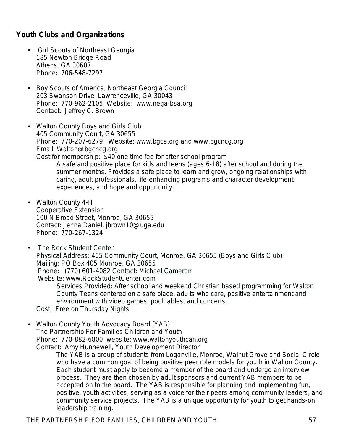# **Youth Clubs and Organizations**

- Girl Scouts of Northeast Georgia 185 Newton Bridge Road Athens, GA 30607 Phone: 706-548-7297
- Boy Scouts of America, Northeast Georgia Council 203 Swanson Drive Lawrenceville, GA 30043 Phone: 770-962-2105 Website: [www.nega-bsa.org](http://www.nega-bsa.org) Contact: Jeffrey C. Brown
- Walton County Boys and Girls Club 405 Community Court, GA 30655 Phone: 770-207-6279 Website: [www.bgca.org](http://www.bgca.org) and [www.bgcncg.org](http://www.bgcncg.org) Email: [Walton@bgcncg.org](mailto:Walton@bgcncg.org) Cost for membership: \$40 one time fee for after school program *A safe and positive place for kids and teens (ages 6-18) after school and during the summer months. Provides a safe place to learn and grow, ongoing relationships with caring, adult professionals, life-enhancing programs and character development* 
	- *experiences, and hope and opportunity.*
- Walton County 4-H Cooperative Extension 100 N Broad Street, Monroe, GA 30655 Contact: Jenna Daniel, jbrown10@uga.edu Phone: 770-267-1324
- The Rock Student Center Physical Address: 405 Community Court, Monroe, GA 30655 (Boys and Girls Club) Mailing: PO Box 405 Monroe, GA 30655 Phone: (770) 601-4082 Contact: Michael Cameron Website: [www.RockStudentCenter.com](http://www.rockstudentcenter.com)

*Services Provided: After school and weekend Christian based programming for Walton County Teens centered on a safe place, adults who care, positive entertainment and environment with video games, pool tables, and concerts.* 

- Cost: Free on Thursday Nights
- Walton County Youth Advocacy Board (YAB) The Partnership For Families Children and Youth Phone: 770-882-6800 website: www.waltonyouthcan.org Contact: Amy Hunnewell, Youth Development Director

*The YAB is a group of students from Loganville, Monroe, Walnut Grove and Social Circle who have a common goal of being positive peer role models for youth in Walton County. Each student must apply to become a member of the board and undergo an interview process. They are then chosen by adult sponsors and current YAB members to be accepted on to the board. The YAB is responsible for planning and implementing fun, positive, youth activities, serving as a voice for their peers among community leaders, and community service projects. The YAB is a unique opportunity for youth to get hands-on leadership training.*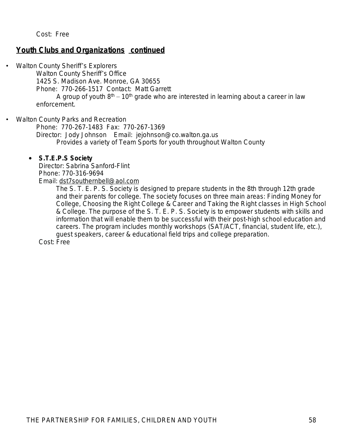Cost: Free

#### **Youth Clubs and Organizations continued**

Walton County Sheriff's Explorers

Walton County Sheriff's Office

1425 S. Madison Ave. Monroe, GA 30655

Phone: 770-266-1517 Contact: Matt Garrett

*A group of youth 8th – 10th grade who are interested in learning about a career in law enforcement*.

• Walton County Parks and Recreation

Phone: 770-267-1483 Fax: 770-267-1369 Director: Jody Johnson Email: [jejohnson@co.walton.ga.us](mailto:jejohnson@co.walton.ga.us) *Provides a variety of Team Sports for youth throughout Walton County*

#### **S.T.E.P.S Society**

Director: Sabrina Sanford-Flint Phone: 770-316-9694 Email: [dst7southernbell@aol.com](mailto:dst7southernbell@aol.com)

> *The S. T. E. P. S. Society is designed to prepare students in the 8th through 12th grade and their parents for college. The society focuses on three main areas: Finding Money for College, Choosing the Right College & Career and Taking the Right classes in High School & College. The purpose of the S. T. E. P. S. Society is to empower students with skills and information that will enable them to be successful with their post-high school education and careers. The program includes monthly workshops (SAT/ACT, financial, student life, etc.), guest speakers, career & educational field trips and college preparation.*

Cost: Free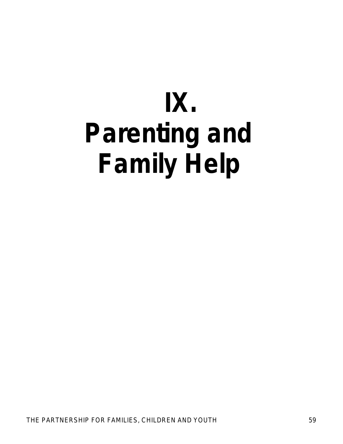# **IX. Parenting and Family Help**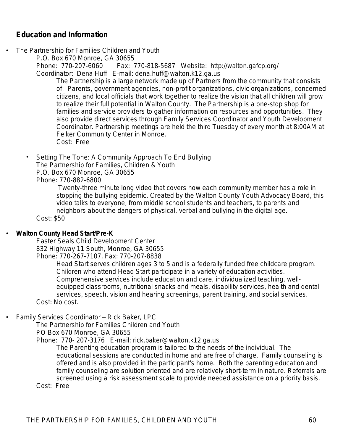# **Education and Information**

The Partnership for Families Children and Youth

P.O. Box 670 Monroe, GA 30655

Phone: 770-207-6060 Fax: 770-818-5687 Website: http://walton.gafcp.org/ Coordinator: Dena Huff E-mail: dena.huff@walton.k12.ga.us

*The Partnership is a large network made up of Partners from the community that consists of: Parents, government agencies, non-profit organizations, civic organizations, concerned citizens, and local officials that work together to realize the vision that all children will grow to realize their full potential in Walton County. The Partnership is a one-stop shop for*  families and service providers to gather information on resources and opportunities. They *also provide direct services through Family Services Coordinator and Youth Development Coordinator. Partnership meetings are held the third Tuesday of every month at 8:00AM at Felker Community Center in Monroe.*  Cost: Free

Setting The Tone: A Community Approach To End Bullying The Partnership for Families, Children & Youth P.O. Box 670 Monroe, GA 30655 Phone: 770-882-6800

*Twenty-three minute long video that covers how each community member has a role in stopping the bullying epidemic. Created by the Walton County Youth Advocacy Board, this video talks to everyone, from middle school students and teachers, to parents and neighbors about the dangers of physical, verbal and bullying in the digital age.* Cost: \$50

#### • **Walton County Head Start/Pre-K**

Easter Seals Child Development Center 832 Highway 11 South, Monroe, GA 30655 Phone: 770-267-7107, Fax: 770-207-8838

*Head Start serves children ages 3 to 5 and is a federally funded free childcare program. Children who attend Head Start participate in a variety of education activities. Comprehensive services include education and care, individualized teaching, wellequipped classrooms, nutritional snacks and meals, disability services, health and dental services, speech, vision and hearing screenings, parent training, and social services.*  Cost: No cost.

• Family Services Coordinator – Rick Baker, LPC

The Partnership for Families Children and Youth

PO Box 670 Monroe, GA 30655

Phone: 770- 207-3176 E-mail: rick.baker@walton.k12.ga.us

*The Parenting education program is tailored to the needs of the individual. The educational sessions are conducted in home and are free of charge. Family counseling is offered and is also provided in the participant's home. Both the parenting education and family counseling are solution oriented and are relatively short-term in nature. Referrals are screened using a risk assessment scale to provide needed assistance on a priority basis.*

Cost: Free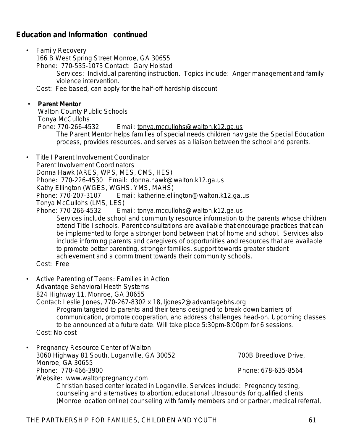# **Education and Information continued**

• Family Recovery 166 B West Spring Street Monroe, GA 30655 Phone: 770-535-1073 Contact: Gary Holstad

*Services: Individual parenting instruction. Topics include: Anger management and family violence intervention.*

Cost: Fee based, can apply for the half-off hardship discount

#### • **Parent Mentor**

Walton County Public Schools Tonya McCullohs

Pone: 770-266-4532 Email: [tonya.mccullohs@walton.k12.ga.us](mailto:tonya.mccullohs@walton.k12.ga.us)

*The Parent Mentor helps families of special needs children navigate the Special Education process, provides resources, and serves as a liaison between the school and parents.*

• Title I Parent Involvement Coordinator Parent Involvement Coordinators Donna Hawk (ARES, WPS, MES, CMS, HES) Phone: 770-226-4530 Email: [donna.hawk@walton.k12.ga.us](mailto:donna.hawk@walton.k12.ga.us) Kathy Ellington (WGES, WGHS, YMS, MAHS) Phone: 770-207-3107 Email: katherine.ellington@walton.k12.ga.us Tonya McCullohs (LMS, LES) Phone: 770-266-4532 Email: tonya.mccullohs@walton.k12.ga.us *Services include school and community resource information to the parents whose children attend Title I schools. Parent consultations are available that encourage practices that can be implemented to forge a stronger bond between that of home and school. Services also include informing parents and caregivers of opportunities and resources that are available*  to promote better parenting, stronger families, support towards greater student *achievement and a commitment towards their community schools.*

#### Cost: Free

- Active Parenting of Teens: Families in Action Advantage Behavioral Heath Systems 824 Highway 11, Monroe, GA 30655 Contact: Leslie Jones, 770-267-8302 x 18, ljones2@advantagebhs.org *Program targeted to parents and their teens designed to break down barriers of communication, promote cooperation, and address challenges head-on. Upcoming classes to be announced at a future date. Will take place 5:30pm-8:00pm for 6 sessions.* Cost: No cost
- Pregnancy Resource Center of Walton 3060 Highway 81 South, Loganville, GA 30052 700B Breedlove Drive, Monroe, GA 30655 Phone: 770-466-3900 Phone: 678-635-8564 Website: www.waltonpregnancy.com

*Christian based center located in Loganville. Services include: Pregnancy testing, counseling and alternatives to abortion, educational ultrasounds for qualified clients (Monroe location online) counseling with family members and or partner, medical referral,*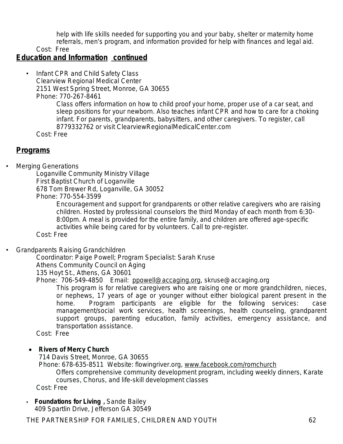*help with life skills needed for supporting you and your baby, shelter or maternity home referrals, men*'*s program, and information provided for help with finances and legal aid.*

Cost: Free

### **Education and Information continued**

• Infant CPR and Child Safety Class Clearview Regional Medical Center 2151 West Spring Street, Monroe, GA 30655 Phone: 770-267-8461

> *Class offers information on how to child proof your home, proper use of a car seat, and sleep positions for your newborn. Also teaches infant CPR and how to care for a choking infant. For parents, grandparents, babysitters, and other caregivers. To register, call 8779332762 or visit ClearviewRegionalMedicalCenter.com*

Cost: Free

### **Programs**

• Merging Generations

Loganville Community Ministry Village First Baptist Church of Loganville 678 Tom Brewer Rd, Loganville, GA 30052 Phone: 770-554-3599

*Encouragement and support for grandparents or other relative caregivers who are raising children. Hosted by professional counselors the third Monday of each month from 6:30- 8:00pm. A meal is provided for the entire family, and children are offered age-specific activities while being cared for by volunteers. Call to pre-register.*

Cost: Free

• Grandparents Raising Grandchildren

Coordinator: Paige Powell; Program Specialist: Sarah Kruse Athens Community Council on Aging 135 Hoyt St., Athens, GA 30601

Phone: 706-549-4850 Email: [ppowell@accaging.org](mailto:ppowell@accaging.org), skruse@accaging.org

*This program is for relative caregivers who are raising one or more grandchildren, nieces, or nephews, 17 years of age or younger without either biological parent present in the home. Program participants are eligible for the following services: case management/social work services, health screenings, health counseling, grandparent support groups, parenting education, family activities, emergency assistance, and transportation assistance.* 

Cost: Free

#### **• Rivers of Mercy Church**

714 Davis Street, Monroe, GA 30655 Phone: 678-635-8511 Website: flowingriver.org, [www.facebook.com/romchurch](http://www.facebook.com/romchurch) *Offers comprehensive community development program, including weekly dinners, Karate courses, Chorus, and life-skill development classes* Cost: Free

#### • **Foundations for Living ,** Sande Bailey 409 Spartlin Drive, Jefferson GA 30549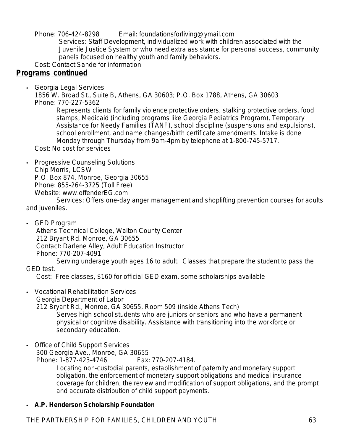Phone: 706-424-8298 Email: [foundationsforliving@ymail.com](mailto:foundationsforliving@ymail.com)

*Services: Staff Development, individualized work with children associated with the Juvenile Justice System or who need extra assistance for personal success, community panels focused on healthy youth and family behaviors.*

Cost: Contact Sande for information

# **Programs continued**

• Georgia Legal Services

1856 W. Broad St., Suite B, Athens, GA 30603; P.O. Box 1788, Athens, GA 30603 Phone: 770-227-5362

*Represents clients for family violence protective orders, stalking protective orders, food stamps, Medicaid (including programs like Georgia Pediatrics Program), Temporary Assistance for Needy Families (TANF), school discipline (suspensions and expulsions), school enrollment, and name changes/birth certificate amendments. Intake is done Monday through Thursday from 9am-4pm by telephone at 1-800-745-5717.*

Cost: No cost for services

• Progressive Counseling Solutions

Chip Morris, LCSW

P.O. Box 874, Monroe, Georgia 30655

Phone: 855-264-3725 (Toll Free)

Website: www.offenderEG.com

*Services: Offers one-day anger management and shoplifting prevention courses for adults and juveniles.*

• GED Program

Athens Technical College, Walton County Center 212 Bryant Rd. Monroe, GA 30655 Contact: Darlene Alley, Adult Education Instructor Phone: 770-207-4091

*Serving underage youth ages 16 to adult. Classes that prepare the student to pass the GED test.*

Cost: Free classes, \$160 for official GED exam, some scholarships available

• Vocational Rehabilitation Services Georgia Department of Labor

212 Bryant Rd., Monroe, GA 30655, Room 509 (inside Athens Tech) *Serves high school students who are juniors or seniors and who have a permanent physical or cognitive disability. Assistance with transitioning into the workforce or secondary education.*

• Office of Child Support Services 300 Georgia Ave., Monroe, GA 30655 Phone: 1-877-423-4746 Fax: 770-207-4184.

*Locating non-custodial parents, establishment of paternity and monetary support obligation, the enforcement of monetary support obligations and medical insurance coverage for children, the review and modification of support obligations, and the prompt and accurate distribution of child support payments.* 

### • **A.P. Henderson Scholarship Foundation**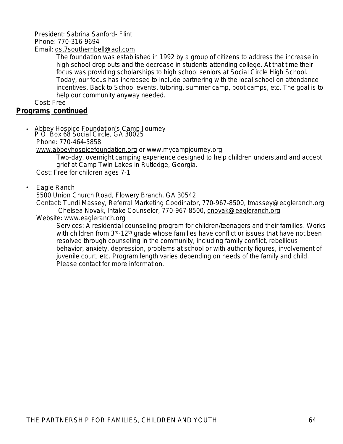### President: Sabrina Sanford- Flint Phone: 770-316-9694

Email: [dst7southernbell@aol.com](mailto:dst7southernbell@aol.com)

*The foundation was established in 1992 by a group of citizens to address the increase in high school drop outs and the decrease in students attending college. At that time their focus was providing scholarships to high school seniors at Social Circle High School. Today, our focus has increased to include partnering with the local school on attendance incentives, Back to School events, tutoring, summer camp, boot camps, etc. The goal is to help our community anyway needed.* 

Cost: Free

#### **Programs continued**

• Abbey Hospice Foundation's Camp Journey P.O. Box 68 Social Circle, GA 30025 Phone: 770-464-5858 [www.abbeyhospicefoundation.org](http://www.abbeyhospicefoundation.org) or www.mycampjourney.org

*Two-day, overnight camping experience designed to help children understand and accept grief at Camp Twin Lakes in Rutledge, Georgia.* 

Cost: Free for children ages 7-1

#### • Eagle Ranch

5500 Union Church Road, Flowery Branch, GA 30542

Contact: Tundi Massey, Referral Marketing Coodinator, 770-967-8500, [tmassey@eagleranch.org](mailto:tmassey@eagleranch.org) Chelsea Novak, Intake Counselor, 770-967-8500, [cnovak@eagleranch.org](mailto:cnovak@eagleranch.org)

#### Website: [www.eagleranch.org](http://www.eagleranch.org)

*Services: A residential counseling program for children/teenagers and their families. Works with children from 3rd-12th grade whose families have conflict or issues that have not been resolved through counseling in the community, including family conflict, rebellious*  behavior, anxiety, depression, problems at school or with authority figures, involvement of *juvenile court, etc. Program length varies depending on needs of the family and child. Please contact for more information.*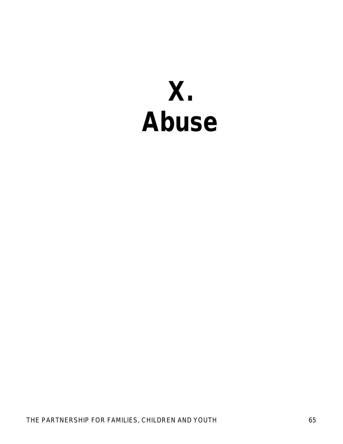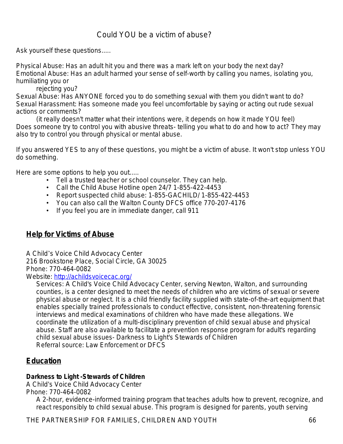# Could YOU be a victim of abuse?

Ask yourself these questions.....

Physical Abuse: Has an adult hit you and there was a mark left on your body the next day? Emotional Abuse: Has an adult harmed your sense of self-worth by calling you names, isolating you, humiliating you or

rejecting you?

Sexual Abuse: Has ANYONE forced you to do something sexual with them you didn't want to do? Sexual Harassment: Has someone made you feel uncomfortable by saying or acting out rude sexual actions or comments?

(it really doesn't matter what their intentions were, it depends on how it made YOU feel) Does someone try to control you with abusive threats- telling you what to do and how to act? They may also try to control you through physical or mental abuse.

If you answered YES to any of these questions, you might be a victim of abuse. It won't stop unless YOU do something.

Here are some options to help you out.....

- Tell a trusted teacher or school counselor. They can help.
- Call the Child Abuse Hotline open 24/7 1-855-422-4453
- Report suspected child abuse: 1-855-GACHILD/ 1-855-422-4453
- You can also call the Walton County DFCS office 770-207-4176
- If you feel you are in immediate danger, call 911

# **Help for Victims of Abuse**

A Child's Voice Child Advocacy Center

216 Brookstone Place, Social Circle, GA 30025

Phone: 770-464-0082

Website: <http://achildsvoicecac.org/>

*Services: A Child's Voice Child Advocacy Center, serving Newton, Walton, and surrounding counties, is a center designed to meet the needs of children who are victims of sexual or severe physical abuse or neglect. It is a child friendly facility supplied with state-of-the-art equipment that enables specially trained professionals to conduct effective, consistent, non-threatening forensic interviews and medical examinations of children who have made these allegations. We coordinate the utilization of a multi-disciplinary prevention of child sexual abuse and physical*  abuse. Staff are also available to facilitate a prevention response program for adult's regarding *child sexual abuse issues- Darkness to Light's Stewards of Children* Referral source: Law Enforcement or DFCS

# **Education**

#### **Darkness to Light -Stewards of Children**

A Child's Voice Child Advocacy Center

Phone: 770-464-0082

*A 2-hour, evidence-informed training program that teaches adults how to prevent, recognize, and*  react responsibly to child sexual abuse. This program is designed for parents, youth serving